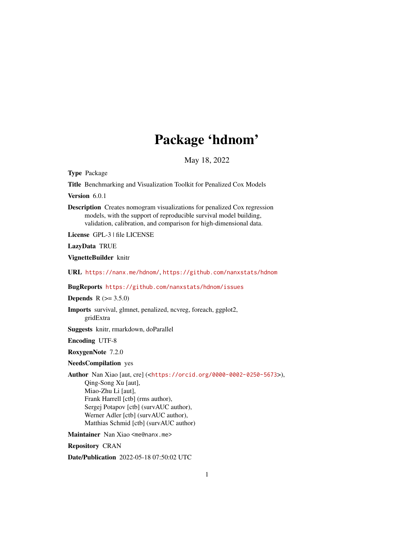# Package 'hdnom'

May 18, 2022

<span id="page-0-0"></span>Type Package

Title Benchmarking and Visualization Toolkit for Penalized Cox Models

Version 6.0.1

Description Creates nomogram visualizations for penalized Cox regression models, with the support of reproducible survival model building, validation, calibration, and comparison for high-dimensional data.

License GPL-3 | file LICENSE

LazyData TRUE

VignetteBuilder knitr

URL <https://nanx.me/hdnom/>, <https://github.com/nanxstats/hdnom>

BugReports <https://github.com/nanxstats/hdnom/issues>

**Depends** R  $(>= 3.5.0)$ 

Imports survival, glmnet, penalized, ncvreg, foreach, ggplot2, gridExtra

Suggests knitr, rmarkdown, doParallel

Encoding UTF-8

RoxygenNote 7.2.0

#### NeedsCompilation yes

Author Nan Xiao [aut, cre] (<<https://orcid.org/0000-0002-0250-5673>>), Qing-Song Xu [aut], Miao-Zhu Li [aut], Frank Harrell [ctb] (rms author), Sergej Potapov [ctb] (survAUC author), Werner Adler [ctb] (survAUC author), Matthias Schmid [ctb] (survAUC author)

Maintainer Nan Xiao <me@nanx.me>

Repository CRAN

Date/Publication 2022-05-18 07:50:02 UTC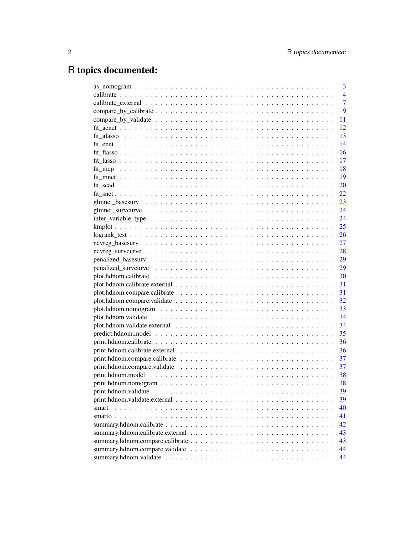# R topics documented:

|                                                                                                        | 3              |
|--------------------------------------------------------------------------------------------------------|----------------|
|                                                                                                        | $\overline{4}$ |
|                                                                                                        | $\overline{7}$ |
|                                                                                                        | 9              |
|                                                                                                        | 11             |
|                                                                                                        | 12             |
|                                                                                                        | 13             |
|                                                                                                        | 14             |
|                                                                                                        | 16             |
|                                                                                                        | 17             |
|                                                                                                        | 18             |
|                                                                                                        | 19             |
|                                                                                                        | 20             |
|                                                                                                        | 22             |
|                                                                                                        | 23             |
|                                                                                                        | 24             |
|                                                                                                        |                |
|                                                                                                        |                |
|                                                                                                        |                |
|                                                                                                        |                |
|                                                                                                        |                |
|                                                                                                        |                |
|                                                                                                        |                |
|                                                                                                        |                |
|                                                                                                        |                |
|                                                                                                        | - 31           |
|                                                                                                        |                |
|                                                                                                        |                |
|                                                                                                        |                |
|                                                                                                        | 34             |
|                                                                                                        | 35             |
|                                                                                                        | 36             |
|                                                                                                        | 36             |
|                                                                                                        | 37             |
| $print.hdnom.compare.validate             $                                                            | -37            |
|                                                                                                        | 38             |
|                                                                                                        | 38             |
|                                                                                                        | 39             |
| $print.hdnom.validate. external \ldots \ldots \ldots \ldots \ldots \ldots \ldots \ldots \ldots \ldots$ | 39             |
| smart                                                                                                  | 40             |
|                                                                                                        | 41             |
|                                                                                                        | 42             |
|                                                                                                        | 43             |
|                                                                                                        | 43             |
|                                                                                                        | 44             |
|                                                                                                        | 44             |
|                                                                                                        |                |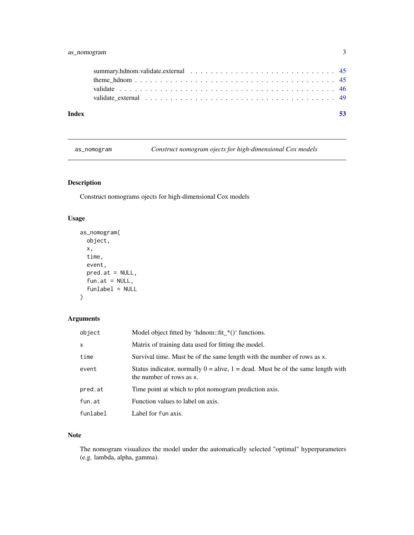# <span id="page-2-0"></span>as\_nomogram 3

| Index |  |
|-------|--|

<span id="page-2-1"></span>as\_nomogram *Construct nomogram ojects for high-dimensional Cox models*

# Description

Construct nomograms ojects for high-dimensional Cox models

# Usage

```
as_nomogram(
 object,
 x,
  time,
 event,
 pred.at = NULL,
 fun.at = NULL,funlabel = NULL
)
```
# Arguments

| object   | Model object fitted by 'hdnom::fit_*()' functions.                                                              |
|----------|-----------------------------------------------------------------------------------------------------------------|
| X.       | Matrix of training data used for fitting the model.                                                             |
| time     | Survival time. Must be of the same length with the number of rows as x.                                         |
| event    | Status indicator, normally $0 =$ alive, $1 =$ dead. Must be of the same length with<br>the number of rows as x. |
| pred.at  | Time point at which to plot nomogram prediction axis.                                                           |
| fun.at   | Function values to label on axis.                                                                               |
| funlabel | Label for fun axis.                                                                                             |

# Note

The nomogram visualizes the model under the automatically selected "optimal" hyperparameters (e.g. lambda, alpha, gamma).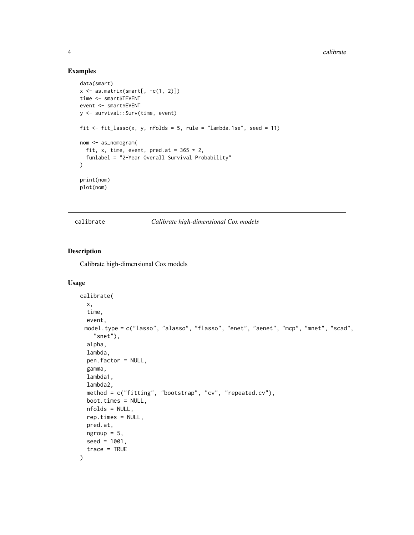#### Examples

```
data(smart)
x \leftarrow as.matrix(smart[, -c(1, 2)])time <- smart$TEVENT
event <- smart$EVENT
y <- survival::Surv(time, event)
fit \le fit_lasso(x, y, nfolds = 5, rule = "lambda.1se", seed = 11)
nom <- as_nomogram(
  fit, x, time, event, pred.at = 365 \times 2,
  funlabel = "2-Year Overall Survival Probability"
\lambdaprint(nom)
plot(nom)
```
<span id="page-3-1"></span>calibrate *Calibrate high-dimensional Cox models*

#### Description

Calibrate high-dimensional Cox models

```
calibrate(
  x,
  time,
 event,
 model.type = c("lasso", "alasso", "flasso", "enet", "aenet", "mcp", "mnet", "scad",
    "snet"),
  alpha,
  lambda,
  pen.factor = NULL,
  gamma,
  lambda1,
  lambda2,
 method = c("fitting", "bootstrap", "cv", "repeated.cv"),
 boot.times = NULL,
  nfolds = NULL,
  rep.times = NULL,
 pred.at,
 ngroup = 5,
  seed = 1001,
  trace = TRUE
)
```
<span id="page-3-0"></span>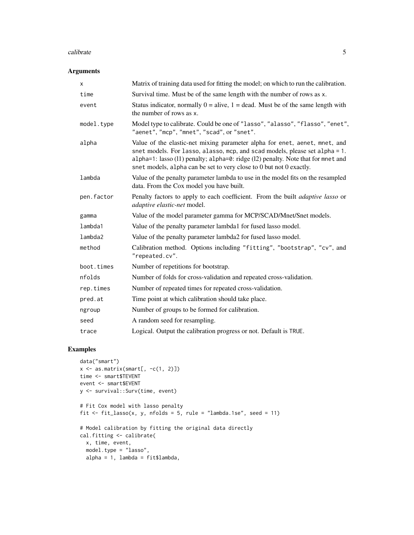#### calibrate 5 and 5 and 5 and 5 and 5 and 5 and 5 and 5 and 5 and 5 and 5 and 5 and 5 and 5 and 5 and 5 and 5 and 5 and 5 and 5 and 5 and 5 and 5 and 5 and 5 and 5 and 5 and 5 and 5 and 5 and 5 and 5 and 5 and 5 and 5 and 5

#### Arguments

| X          | Matrix of training data used for fitting the model; on which to run the calibration.                                                                                                                                                                                                                                 |
|------------|----------------------------------------------------------------------------------------------------------------------------------------------------------------------------------------------------------------------------------------------------------------------------------------------------------------------|
| time       | Survival time. Must be of the same length with the number of rows as x.                                                                                                                                                                                                                                              |
| event      | Status indicator, normally $0 =$ alive, $1 =$ dead. Must be of the same length with<br>the number of rows as x.                                                                                                                                                                                                      |
| model.type | Model type to calibrate. Could be one of "lasso", "alasso", "flasso", "enet",<br>"aenet", "mcp", "mnet", "scad", or "snet".                                                                                                                                                                                          |
| alpha      | Value of the elastic-net mixing parameter alpha for enet, aenet, mnet, and<br>snet models. For lasso, alasso, mcp, and scad models, please set alpha = 1.<br>alpha=1: lasso (11) penalty; alpha=0: ridge (12) penalty. Note that for mnet and<br>snet models, alpha can be set to very close to 0 but not 0 exactly. |
| lambda     | Value of the penalty parameter lambda to use in the model fits on the resampled<br>data. From the Cox model you have built.                                                                                                                                                                                          |
| pen.factor | Penalty factors to apply to each coefficient. From the built <i>adaptive lasso</i> or<br>adaptive elastic-net model.                                                                                                                                                                                                 |
| gamma      | Value of the model parameter gamma for MCP/SCAD/Mnet/Snet models.                                                                                                                                                                                                                                                    |
| lambda1    | Value of the penalty parameter lambda1 for fused lasso model.                                                                                                                                                                                                                                                        |
| lambda2    | Value of the penalty parameter lambda2 for fused lasso model.                                                                                                                                                                                                                                                        |
| method     | Calibration method. Options including "fitting", "bootstrap", "cv", and<br>"repeated.cv".                                                                                                                                                                                                                            |
| boot.times | Number of repetitions for bootstrap.                                                                                                                                                                                                                                                                                 |
| nfolds     | Number of folds for cross-validation and repeated cross-validation.                                                                                                                                                                                                                                                  |
| rep.times  | Number of repeated times for repeated cross-validation.                                                                                                                                                                                                                                                              |
| pred.at    | Time point at which calibration should take place.                                                                                                                                                                                                                                                                   |
| ngroup     | Number of groups to be formed for calibration.                                                                                                                                                                                                                                                                       |
| seed       | A random seed for resampling.                                                                                                                                                                                                                                                                                        |
| trace      | Logical. Output the calibration progress or not. Default is TRUE.                                                                                                                                                                                                                                                    |

# Examples

```
data("smart")
x \leftarrow as.matrix(smart[, -c(1, 2)])time <- smart$TEVENT
event <- smart$EVENT
y <- survival::Surv(time, event)
# Fit Cox model with lasso penalty
fit \le fit_lasso(x, y, nfolds = 5, rule = "lambda.1se", seed = 11)
# Model calibration by fitting the original data directly
cal.fitting <- calibrate(
 x, time, event,
 model.type = "lasso",
  alpha = 1, lambda = fit$lambda,
```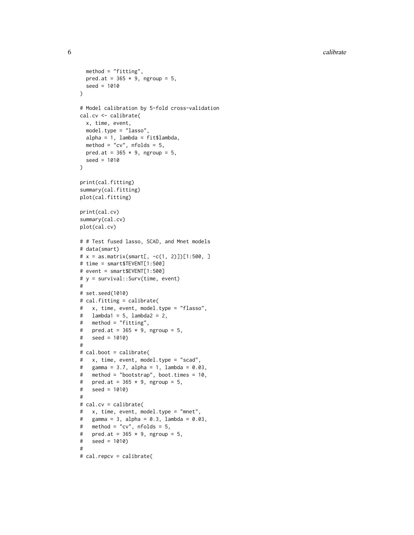```
method = "fitting",
  pred.at = 365 \times 9, ngroup = 5,
  seed = 1010
\lambda# Model calibration by 5-fold cross-validation
cal.cv <- calibrate(
  x, time, event,
  model.type = "lasso",
  alpha = 1, lambda = fit$lambda,
  method = "cv", n_{\text{folds}} = 5,
  pred.at = 365 \times 9, ngroup = 5,
  seed = 1010
)
print(cal.fitting)
summary(cal.fitting)
plot(cal.fitting)
print(cal.cv)
summary(cal.cv)
plot(cal.cv)
# # Test fused lasso, SCAD, and Mnet models
# data(smart)
# x = as.matrix(smart[, -c(1, 2)])[1:500, ]# time = smart$TEVENT[1:500]
# event = smart$EVENT[1:500]
# y = survival::Surv(time, event) #
# set.seed(1010)
# cal.fitting = calibrate(
# x, time, event, model.type = "flasso",
# lambda1 = 5, lambda2 = 2,
# method = "fitting",
# pred.at = 365 \times 9, ngroup = 5,
# seed = 1010)
#
# cal.boot = calibrate(
# x, time, event, model.type = "scad",
# gamma = 3.7, alpha = 1, lambda = 0.03,
# method = "bootstrap", boot.times = 10,
# pred.at = 365 \times 9, ngroup = 5,
# seed = 1010) #
# cal.cv = calibrate(
# x, time, event, model.type = "mnet",
# gamma = 3, alpha = 0.3, lambda = 0.03,
# method = "cv", nfolds = 5,
# pred.at = 365 \times 9, ngroup = 5,
# seed = 1010) #
# cal.repcv = calibrate(
```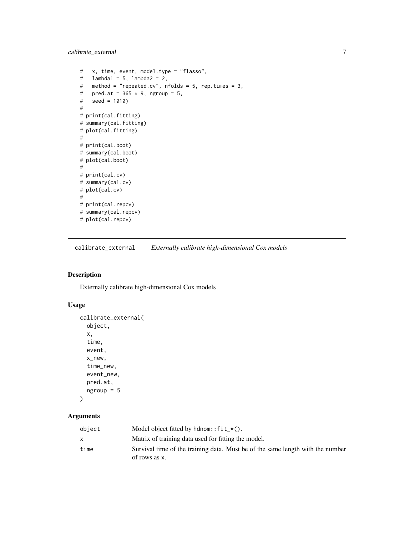<span id="page-6-0"></span>calibrate\_external 7

```
# x, time, event, model.type = "flasso",
# lambda1 = 5, lambda2 = 2,
# method = "repeated.cv", nfolds = 5, rep.times = 3,
# pred.at = 365 \times 9, ngroup = 5,
# seed = 1010)
#
# print(cal.fitting)
# summary(cal.fitting)
# plot(cal.fitting)
#
# print(cal.boot)
# summary(cal.boot)
# plot(cal.boot)
#
# print(cal.cv)
# summary(cal.cv)
# plot(cal.cv)
#
# print(cal.repcv)
# summary(cal.repcv)
# plot(cal.repcv)
```
<span id="page-6-1"></span>calibrate\_external *Externally calibrate high-dimensional Cox models*

#### Description

Externally calibrate high-dimensional Cox models

# Usage

```
calibrate_external(
  object,
  x,
  time,
  event,
  x_new,
  time_new,
  event_new,
  pred.at,
  ngroup = 5
```

```
)
```

| object | Model object fitted by hdnom:: $fit-*()$ .                                                      |
|--------|-------------------------------------------------------------------------------------------------|
|        | Matrix of training data used for fitting the model.                                             |
| time   | Survival time of the training data. Must be of the same length with the number<br>of rows as x. |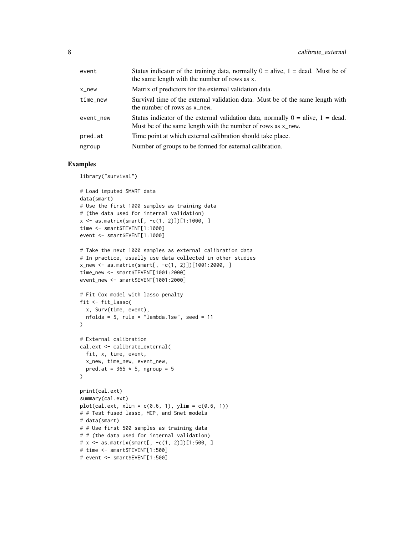| event     | Status indicator of the training data, normally $0 =$ alive, $1 =$ dead. Must be of<br>the same length with the number of rows as x.                |
|-----------|-----------------------------------------------------------------------------------------------------------------------------------------------------|
| x_new     | Matrix of predictors for the external validation data.                                                                                              |
| time_new  | Survival time of the external validation data. Must be of the same length with<br>the number of rows as x_new.                                      |
| event new | Status indicator of the external validation data, normally $0 =$ alive, $1 =$ dead.<br>Must be of the same length with the number of rows as x_new. |
| pred.at   | Time point at which external calibration should take place.                                                                                         |
| ngroup    | Number of groups to be formed for external calibration.                                                                                             |

#### Examples

library("survival")

```
# Load imputed SMART data
data(smart)
# Use the first 1000 samples as training data
# (the data used for internal validation)
x \le - as.matrix(smart[, -c(1, 2)]][1:1000, ]
time <- smart$TEVENT[1:1000]
event <- smart$EVENT[1:1000]
# Take the next 1000 samples as external calibration data
# In practice, usually use data collected in other studies
x_new <- as.matrix(smart[, -c(1, 2)])[1001:2000, ]
time_new <- smart$TEVENT[1001:2000]
event_new <- smart$EVENT[1001:2000]
# Fit Cox model with lasso penalty
fit <- fit_lasso(
  x, Surv(time, event),
  nfolds = 5, rule = "lambda.1se", seed = 11\lambda# External calibration
cal.ext <- calibrate_external(
  fit, x, time, event,
 x_new, time_new, event_new,
 pred.at = 365 \times 5, ngroup = 5\lambdaprint(cal.ext)
summary(cal.ext)
plot(cal.ext, xlim = c(0.6, 1), ylim = c(0.6, 1))# # Test fused lasso, MCP, and Snet models
# data(smart)
# # Use first 500 samples as training data
# # (the data used for internal validation)
# x <- as.matrix(smart[, -c(1, 2)])[1:500, ]
# time <- smart$TEVENT[1:500]
# event <- smart$EVENT[1:500]
```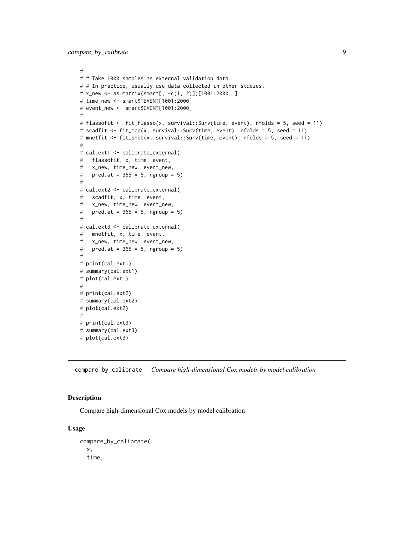```
#
# # Take 1000 samples as external validation data.
# # In practice, usually use data collected in other studies.
# x_new <- as.matrix(smart[, -c(1, 2)])[1001:2000, ]
# time_new <- smart$TEVENT[1001:2000]
# event_new <- smart$EVENT[1001:2000]
#
# flassofit <- fit_flasso(x, survival::Surv(time, event), nfolds = 5, seed = 11)
# scadfit <- fit_mcp(x, survival::Surv(time, event), nfolds = 5, seed = 11)
# mnetfit <- fit_snet(x, survival::Surv(time, event), nfolds = 5, seed = 11)
#
# cal.ext1 <- calibrate_external(
# flassofit, x, time, event,
# x_new, time_new, event_new,
# pred.at = 365 \times 5, ngroup = 5)
#
# cal.ext2 <- calibrate_external(
# scadfit, x, time, event,
# x_new, time_new, event_new,
# pred.at = 365 \times 5, ngroup = 5)
#
# cal.ext3 <- calibrate_external(
# mnetfit, x, time, event,
# x_new, time_new, event_new,
# pred.at = 365 \times 5, ngroup = 5)#
# print(cal.ext1)
# summary(cal.ext1)
# plot(cal.ext1)
#
# print(cal.ext2)
# summary(cal.ext2)
# plot(cal.ext2)
#
# print(cal.ext3)
# summary(cal.ext3)
```

```
# plot(cal.ext3)
```
<span id="page-8-1"></span>compare\_by\_calibrate *Compare high-dimensional Cox models by model calibration*

#### Description

Compare high-dimensional Cox models by model calibration

```
compare_by_calibrate(
  x,
  time,
```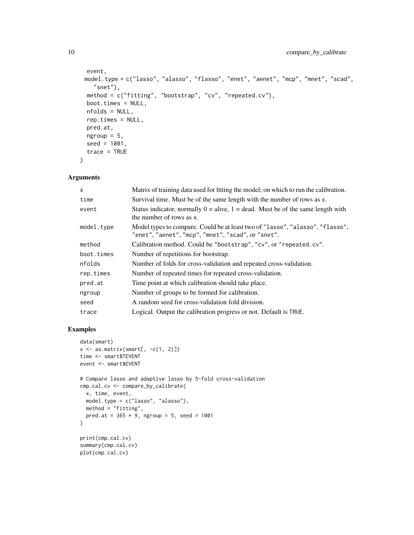```
event,
model.type = c("lasso", "alasso", "flasso", "enet", "aenet", "mcp", "mnet", "scad",
  "snet"),
method = c("fitting", "bootstrap", "cv", "repeated.cv"),
boot.times = NULL,
nfolds = NULL,
rep.times = NULL,
pred.at,
ngroup = 5,
seed = 1001,
trace = TRUE
```
 $\mathcal{L}$ 

| $\mathsf{x}$ | Matrix of training data used for fitting the model; on which to run the calibration.                                                |
|--------------|-------------------------------------------------------------------------------------------------------------------------------------|
| time         | Survival time. Must be of the same length with the number of rows as x.                                                             |
| event        | Status indicator, normally $0 =$ alive, $1 =$ dead. Must be of the same length with<br>the number of rows as x.                     |
| model.type   | Model types to compare. Could be at least two of "lasso", "alasso", "flasso",<br>"enet", "aenet", "mcp", "mnet", "scad", or "snet". |
| method       | Calibration method. Could be "bootstrap", "cv", or "repeated.cv".                                                                   |
| boot.times   | Number of repetitions for bootstrap.                                                                                                |
| nfolds       | Number of folds for cross-validation and repeated cross-validation.                                                                 |
| rep.times    | Number of repeated times for repeated cross-validation.                                                                             |
| pred.at      | Time point at which calibration should take place.                                                                                  |
| ngroup       | Number of groups to be formed for calibration.                                                                                      |
| seed         | A random seed for cross-validation fold division.                                                                                   |
| trace        | Logical. Output the calibration progress or not. Default is TRUE.                                                                   |

#### Examples

```
data(smart)
x \leftarrow as.matrix(smart[, -c(1, 2)])time <- smart$TEVENT
event <- smart$EVENT
# Compare lasso and adaptive lasso by 5-fold cross-validation
cmp.cal.cv <- compare_by_calibrate(
 x, time, event,
model.type = c("lasso", "alasso"),
 method = "fitting",
 pred.at = 365 * 9, ngroup = 5, seed = 1001\mathcal{L}print(cmp.cal.cv)
summary(cmp.cal.cv)
plot(cmp.cal.cv)
```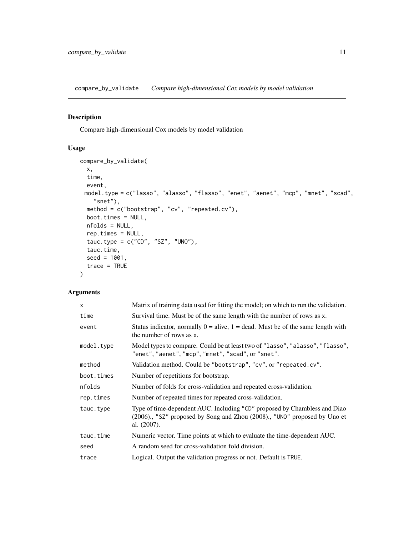<span id="page-10-1"></span><span id="page-10-0"></span>compare\_by\_validate *Compare high-dimensional Cox models by model validation*

# Description

Compare high-dimensional Cox models by model validation

# Usage

```
compare_by_validate(
 x,
 time,
  event,
 model.type = c("lasso", "alasso", "flasso", "enet", "aenet", "mcp", "mnet", "scad",
   "snet"),
 method = c("bootstrap", "cv", "repeated.cv"),
 boot.times = NULL,
 nfolds = NULL,
 rep.times = NULL,
  tauc.type = c("CD", "SZ", "UNO"),
  tauc.time,
 seed = 1001,
  trace = TRUE
)
```

| X          | Matrix of training data used for fitting the model; on which to run the validation.                                                                                   |  |
|------------|-----------------------------------------------------------------------------------------------------------------------------------------------------------------------|--|
| time       | Survival time. Must be of the same length with the number of rows as x.                                                                                               |  |
| event      | Status indicator, normally $0 =$ alive, $1 =$ dead. Must be of the same length with<br>the number of rows as x.                                                       |  |
| model.type | Model types to compare. Could be at least two of "lasso", "alasso", "flasso",<br>"enet", "aenet", "mcp", "mnet", "scad", or "snet".                                   |  |
| method     | Validation method. Could be "bootstrap", "cv", or "repeated.cv".                                                                                                      |  |
| boot.times | Number of repetitions for bootstrap.                                                                                                                                  |  |
| nfolds     | Number of folds for cross-validation and repeated cross-validation.                                                                                                   |  |
| rep.times  | Number of repeated times for repeated cross-validation.                                                                                                               |  |
| tauc.type  | Type of time-dependent AUC. Including "CD" proposed by Chambless and Diao<br>(2006)., "SZ" proposed by Song and Zhou (2008)., "UNO" proposed by Uno et<br>al. (2007). |  |
| tauc.time  | Numeric vector. Time points at which to evaluate the time-dependent AUC.                                                                                              |  |
| seed       | A random seed for cross-validation fold division.                                                                                                                     |  |
| trace      | Logical. Output the validation progress or not. Default is TRUE.                                                                                                      |  |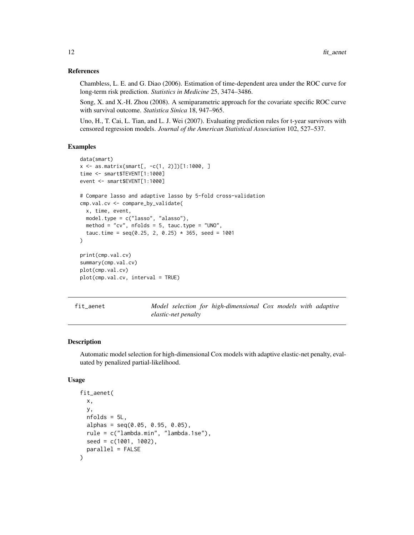#### References

Chambless, L. E. and G. Diao (2006). Estimation of time-dependent area under the ROC curve for long-term risk prediction. *Statistics in Medicine* 25, 3474–3486.

Song, X. and X.-H. Zhou (2008). A semiparametric approach for the covariate specific ROC curve with survival outcome. *Statistica Sinica* 18, 947–965.

Uno, H., T. Cai, L. Tian, and L. J. Wei (2007). Evaluating prediction rules for t-year survivors with censored regression models. *Journal of the American Statistical Association* 102, 527–537.

#### Examples

```
data(smart)
x <- as.matrix(smart[, -c(1, 2)])[1:1000, ]
time <- smart$TEVENT[1:1000]
event <- smart$EVENT[1:1000]
# Compare lasso and adaptive lasso by 5-fold cross-validation
cmp.val.cv <- compare_by_validate(
  x, time, event,
  model.type = c("lasso", "alasso"),
  method = "cv", n_{\text{folds}} = 5, tauc.type = "UNO",
  tauc.time = seq(0.25, 2, 0.25) * 365, seed = 1001
)
print(cmp.val.cv)
summary(cmp.val.cv)
plot(cmp.val.cv)
plot(cmp.val.cv, interval = TRUE)
```

|  | tıt aenet |  |
|--|-----------|--|
|  |           |  |
|  |           |  |

*Model selection for high-dimensional Cox models with adaptive elastic-net penalty*

#### Description

Automatic model selection for high-dimensional Cox models with adaptive elastic-net penalty, evaluated by penalized partial-likelihood.

```
fit_aenet(
  x,
 y,
 nfolds = 5L,
  alpha = seq(0.05, 0.95, 0.05),
  rule = c("lambda.min", "lambda.1se"),
  seed = c(1001, 1002),
  parallel = FALSE
)
```
<span id="page-11-0"></span>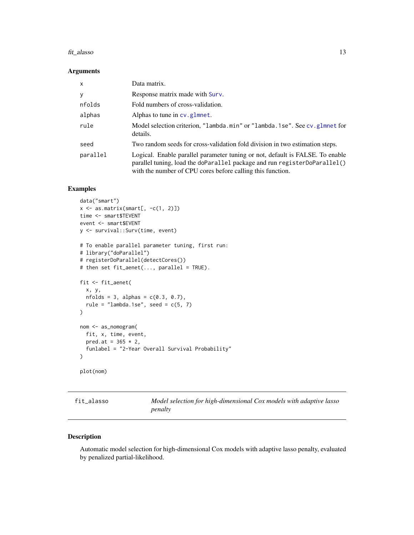#### <span id="page-12-0"></span>fit\_alasso 13

#### Arguments

| $\mathsf{x}$ | Data matrix.                                                                                                                                                                                                             |
|--------------|--------------------------------------------------------------------------------------------------------------------------------------------------------------------------------------------------------------------------|
| y            | Response matrix made with Surv.                                                                                                                                                                                          |
| nfolds       | Fold numbers of cross-validation.                                                                                                                                                                                        |
| alphas       | Alphas to tune in $cv$ glmnet.                                                                                                                                                                                           |
| rule         | Model selection criterion, "lambda.min" or "lambda.1se". See cv.glmnet for<br>details.                                                                                                                                   |
| seed         | Two random seeds for cross-validation fold division in two estimation steps.                                                                                                                                             |
| parallel     | Logical. Enable parallel parameter tuning or not, default is FALSE. To enable<br>parallel tuning, load the doParallel package and run registerDoParallel()<br>with the number of CPU cores before calling this function. |

#### Examples

```
data("smart")
x \leftarrow as.matrix(smart[, -c(1, 2)])time <- smart$TEVENT
event <- smart$EVENT
y <- survival::Surv(time, event)
# To enable parallel parameter tuning, first run:
# library("doParallel")
# registerDoParallel(detectCores())
# then set fit_aenet(..., parallel = TRUE).
fit <- fit_aenet(
  x, y,
  nfolds = 3, alpha = c(0.3, 0.7),
  rule = "lambda.1se", seed = c(5, 7)\mathcal{L}nom <- as_nomogram(
  fit, x, time, event,
  pred.at = 365 * 2,
  funlabel = "2-Year Overall Survival Probability"
\mathcal{L}plot(nom)
```

| fit_alasso | Model selection for high-dimensional Cox models with adaptive lasso |
|------------|---------------------------------------------------------------------|
|            | penalty                                                             |

#### Description

Automatic model selection for high-dimensional Cox models with adaptive lasso penalty, evaluated by penalized partial-likelihood.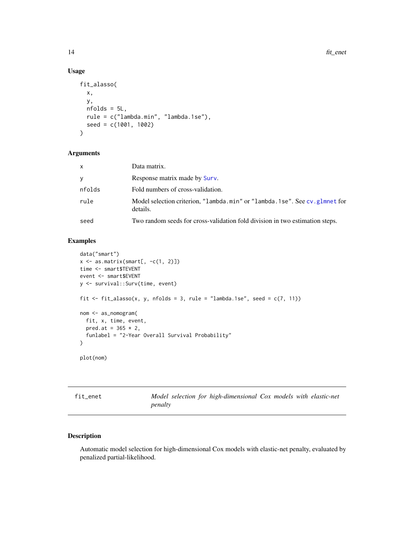#### Usage

```
fit_alasso(
  x,
 y,
 nfolds = 5L,
 rule = c("lambda.min", "lambda.1se"),
  seed = c(1001, 1002)
)
```
#### Arguments

| x      | Data matrix.                                                                           |
|--------|----------------------------------------------------------------------------------------|
| v      | Response matrix made by Surv.                                                          |
| nfolds | Fold numbers of cross-validation.                                                      |
| rule   | Model selection criterion, "lambda.min" or "lambda.1se". See cv.glmnet for<br>details. |
| seed   | Two random seeds for cross-validation fold division in two estimation steps.           |

# Examples

```
data("smart")
x \leftarrow as.matrix(smart[, -c(1, 2)])time <- smart$TEVENT
event <- smart$EVENT
y <- survival::Surv(time, event)
fit \le fit_alasso(x, y, nfolds = 3, rule = "lambda.1se", seed = c(7, 11))
nom <- as_nomogram(
  fit, x, time, event,
  pred.at = 365 * 2,
  funlabel = "2-Year Overall Survival Probability"
\mathcal{L}plot(nom)
```

| fit enet |  |
|----------|--|
|          |  |

Model selection for high-dimensional Cox models with elastic-net *penalty*

#### Description

Automatic model selection for high-dimensional Cox models with elastic-net penalty, evaluated by penalized partial-likelihood.

<span id="page-13-0"></span>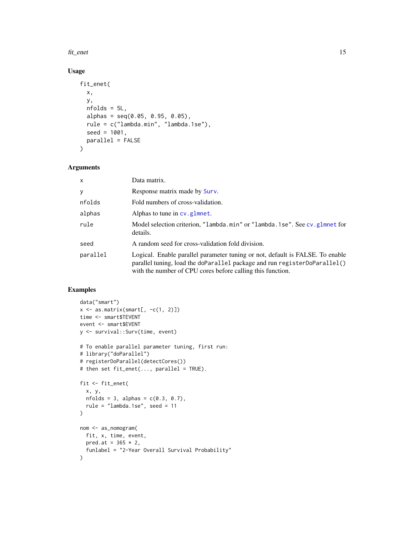#### <span id="page-14-0"></span>fit\_enet 15

# Usage

```
fit_enet(
  x,
 y,
 nfolds = 5L,
  alpha = seq(0.05, 0.95, 0.05),
  rule = c("lambda.min", "lambda.1se"),
  seed = 1001,parallel = FALSE
\mathcal{L}
```
# Arguments

| x        | Data matrix.                                                                                                                                                                                                             |
|----------|--------------------------------------------------------------------------------------------------------------------------------------------------------------------------------------------------------------------------|
| у        | Response matrix made by Surv.                                                                                                                                                                                            |
| nfolds   | Fold numbers of cross-validation.                                                                                                                                                                                        |
| alphas   | Alphas to tune in $cv$ glmnet.                                                                                                                                                                                           |
| rule     | Model selection criterion, "lambda.min" or "lambda.1se". See cv.glmnet for<br>details.                                                                                                                                   |
| seed     | A random seed for cross-validation fold division.                                                                                                                                                                        |
| parallel | Logical. Enable parallel parameter tuning or not, default is FALSE. To enable<br>parallel tuning, load the doParallel package and run registerDoParallel()<br>with the number of CPU cores before calling this function. |

# Examples

```
data("smart")
x \leftarrow as.matrix(smart[, -c(1, 2)])
time <- smart$TEVENT
event <- smart$EVENT
y <- survival::Surv(time, event)
# To enable parallel parameter tuning, first run:
# library("doParallel")
# registerDoParallel(detectCores())
# then set fit_enet(..., parallel = TRUE).
fit <- fit_enet(
  x, y,
  nfolds = 3, alphas = c(0.3, 0.7),
  rule = "lambda.1se", seed = 11
\overline{)}nom <- as_nomogram(
  fit, x, time, event,
  pred.at = 365 * 2,
  funlabel = "2-Year Overall Survival Probability"
\mathcal{L}
```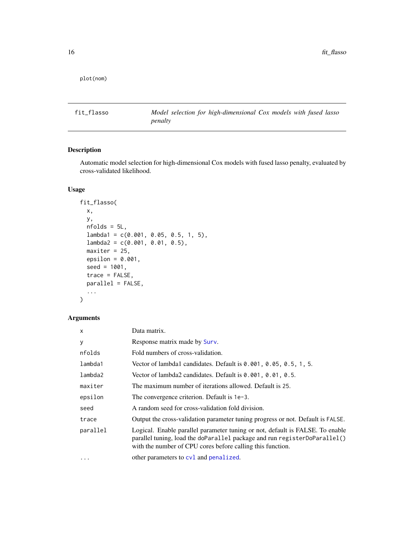<span id="page-15-0"></span>plot(nom)

fit\_flasso *Model selection for high-dimensional Cox models with fused lasso penalty*

# Description

Automatic model selection for high-dimensional Cox models with fused lasso penalty, evaluated by cross-validated likelihood.

# Usage

```
fit_flasso(
 x,
 y,
 nfolds = 5L,
 lambda1 = c(0.001, 0.05, 0.5, 1, 5),
 lambda2 = c(0.001, 0.01, 0.5),
 maxiter = 25,
 epsilon = 0.001,
  seed = 1001,trace = FALSE,
 parallel = FALSE,
  ...
)
```

| x        | Data matrix.                                                                                                                                                                                                             |  |
|----------|--------------------------------------------------------------------------------------------------------------------------------------------------------------------------------------------------------------------------|--|
| У        | Response matrix made by Surv.                                                                                                                                                                                            |  |
| nfolds   | Fold numbers of cross-validation.                                                                                                                                                                                        |  |
| lambda1  | Vector of lambda1 candidates. Default is $0.001$ , $0.05$ , $0.5$ , 1, 5.                                                                                                                                                |  |
| lambda2  | Vector of lambda2 candidates. Default is 0.001, 0.01, 0.5.                                                                                                                                                               |  |
| maxiter  | The maximum number of iterations allowed. Default is 25.                                                                                                                                                                 |  |
| epsilon  | The convergence criterion. Default is 1e-3.                                                                                                                                                                              |  |
| seed     | A random seed for cross-validation fold division.                                                                                                                                                                        |  |
| trace    | Output the cross-validation parameter tuning progress or not. Default is FALSE.                                                                                                                                          |  |
| parallel | Logical. Enable parallel parameter tuning or not, default is FALSE. To enable<br>parallel tuning, load the doParallel package and run registerDoParallel()<br>with the number of CPU cores before calling this function. |  |
| $\cdots$ | other parameters to cvl and penalized.                                                                                                                                                                                   |  |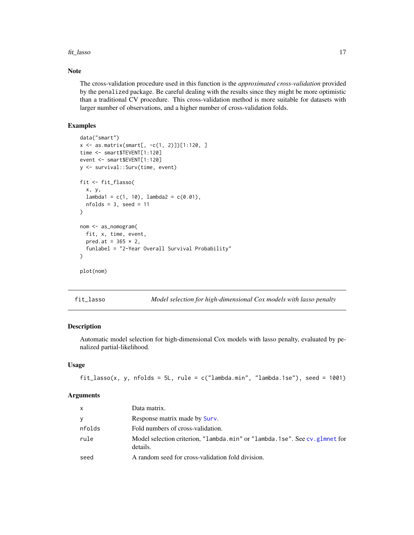#### <span id="page-16-0"></span>fit\_lasso and the state of the state of the state of the state of the state of the state of the state of the state of the state of the state of the state of the state of the state of the state of the state of the state of

#### Note

The cross-validation procedure used in this function is the *approximated cross-validation* provided by the penalized package. Be careful dealing with the results since they might be more optimistic than a traditional CV procedure. This cross-validation method is more suitable for datasets with larger number of observations, and a higher number of cross-validation folds.

#### Examples

```
data("smart")
x <- as.matrix(smart[, -c(1, 2)])[1:120, ]
time <- smart$TEVENT[1:120]
event <- smart$EVENT[1:120]
y <- survival::Surv(time, event)
fit <- fit_flasso(
  x, y,
  lambda1 = c(1, 10), lambda2 = c(0.01),nfolds = 3, seed = 11
)
nom <- as_nomogram(
  fit, x, time, event,
  pred.at = 365 * 2,
  funlabel = "2-Year Overall Survival Probability"
\mathcal{L}plot(nom)
```
fit\_lasso *Model selection for high-dimensional Cox models with lasso penalty*

# Description

Automatic model selection for high-dimensional Cox models with lasso penalty, evaluated by penalized partial-likelihood.

#### Usage

fit\_lasso(x, y, nfolds = 5L, rule =  $c("lambda.min", "lambda.1se"), seed = 1001)$ 

| $\mathsf{x}$ | Data matrix.                                                                           |
|--------------|----------------------------------------------------------------------------------------|
| <b>V</b>     | Response matrix made by Surv.                                                          |
| nfolds       | Fold numbers of cross-validation.                                                      |
| rule         | Model selection criterion, "lambda.min" or "lambda.1se". See cv.glmnet for<br>details. |
| seed         | A random seed for cross-validation fold division.                                      |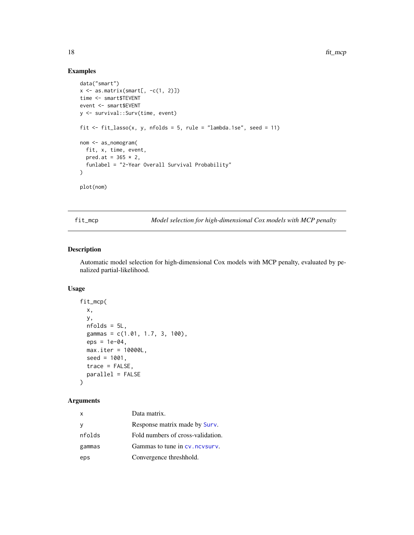# Examples

```
data("smart")
x \leftarrow as.matrix(smart[, -c(1, 2)])time <- smart$TEVENT
event <- smart$EVENT
y <- survival::Surv(time, event)
fit \le fit_lasso(x, y, nfolds = 5, rule = "lambda.1se", seed = 11)
nom <- as_nomogram(
  fit, x, time, event,
  pred.at = 365 * 2,
  funlabel = "2-Year Overall Survival Probability"
)
plot(nom)
```
fit\_mcp *Model selection for high-dimensional Cox models with MCP penalty*

# Description

Automatic model selection for high-dimensional Cox models with MCP penalty, evaluated by penalized partial-likelihood.

#### Usage

```
fit_mcp(
  x,
 y,
 nfolds = 5L,
 gammas = c(1.01, 1.7, 3, 100),
 eps = 1e-04,
 max.iter = 10000L,
 seed = 1001,
 trace = FALSE,parallel = FALSE
\mathcal{E}
```

| x      | Data matrix.                      |
|--------|-----------------------------------|
| у      | Response matrix made by Surv.     |
| nfolds | Fold numbers of cross-validation. |
| gammas | Gammas to tune in cv. ncvsurv.    |
| eps    | Convergence threshhold.           |

<span id="page-17-0"></span>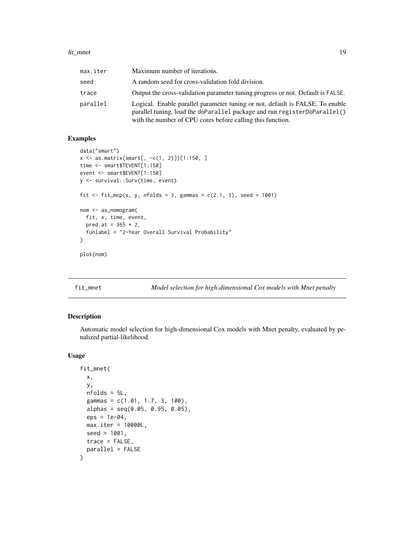#### <span id="page-18-0"></span>fit\_mnet 19

| max.iter | Maximum number of iterations.                                                                                                                                                                                            |
|----------|--------------------------------------------------------------------------------------------------------------------------------------------------------------------------------------------------------------------------|
| seed     | A random seed for cross-validation fold division.                                                                                                                                                                        |
| trace    | Output the cross-validation parameter tuning progress or not. Default is FALSE.                                                                                                                                          |
| parallel | Logical. Enable parallel parameter tuning or not, default is FALSE. To enable<br>parallel tuning, load the doParallel package and run registerDoParallel()<br>with the number of CPU cores before calling this function. |

# Examples

```
data("smart")
x \le - as.matrix(smart[, -c(1, 2)]][1:150, ]
time <- smart$TEVENT[1:150]
event <- smart$EVENT[1:150]
y <- survival::Surv(time, event)
fit \le fit_mcp(x, y, nfolds = 3, gammas = c(2.1, 3), seed = 1001)
nom <- as_nomogram(
  fit, x, time, event,
  pred.at = 365 * 2,
  funlabel = "2-Year Overall Survival Probability"
)
plot(nom)
```

```
fit_mnet Model selection for high-dimensional Cox models with Mnet penalty
```
# Description

Automatic model selection for high-dimensional Cox models with Mnet penalty, evaluated by penalized partial-likelihood.

```
fit_mnet(
 x,
 y,
 nfolds = 5L,
 gammas = c(1.01, 1.7, 3, 100),
 alpha = seq(0.05, 0.95, 0.05),
 eps = 1e-04.
 max.iter = 10000L,
 seed = 1001,
 trace = FALSE,
 parallel = FALSE
)
```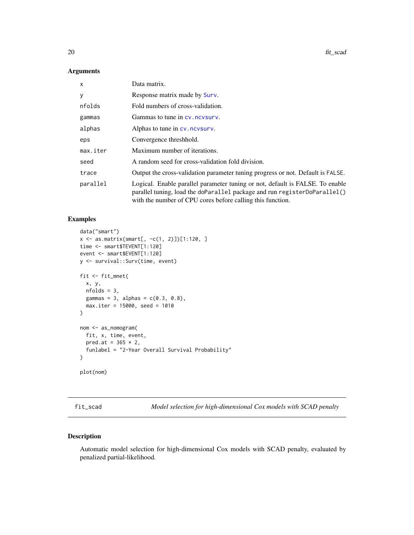<span id="page-19-0"></span>

| x        | Data matrix.                                                                                                                                                                                                             |
|----------|--------------------------------------------------------------------------------------------------------------------------------------------------------------------------------------------------------------------------|
| у        | Response matrix made by Surv.                                                                                                                                                                                            |
| nfolds   | Fold numbers of cross-validation.                                                                                                                                                                                        |
| gammas   | Gammas to tune in cv. nevsurv.                                                                                                                                                                                           |
| alphas   | Alphas to tune in cv. nevsurv.                                                                                                                                                                                           |
| eps      | Convergence threshhold.                                                                                                                                                                                                  |
| max.iter | Maximum number of iterations.                                                                                                                                                                                            |
| seed     | A random seed for cross-validation fold division.                                                                                                                                                                        |
| trace    | Output the cross-validation parameter tuning progress or not. Default is FALSE.                                                                                                                                          |
| parallel | Logical. Enable parallel parameter tuning or not, default is FALSE. To enable<br>parallel tuning, load the doParallel package and run registerDoParallel()<br>with the number of CPU cores before calling this function. |

# Examples

```
data("smart")
x \le - as.matrix(smart[, -c(1, 2)]][1:120, ]
time <- smart$TEVENT[1:120]
event <- smart$EVENT[1:120]
y <- survival::Surv(time, event)
fit <- fit_mnet(
  x, y,
 nfolds = 3,
  gammas = 3, alphas = c(0.3, 0.8),
  max.iter = 15000, seed = 1010
)
nom <- as_nomogram(
  fit, x, time, event,
  pred.at = 365 * 2,
  funlabel = "2-Year Overall Survival Probability"
\mathcal{L}plot(nom)
```
fit\_scad *Model selection for high-dimensional Cox models with SCAD penalty*

#### Description

Automatic model selection for high-dimensional Cox models with SCAD penalty, evaluated by penalized partial-likelihood.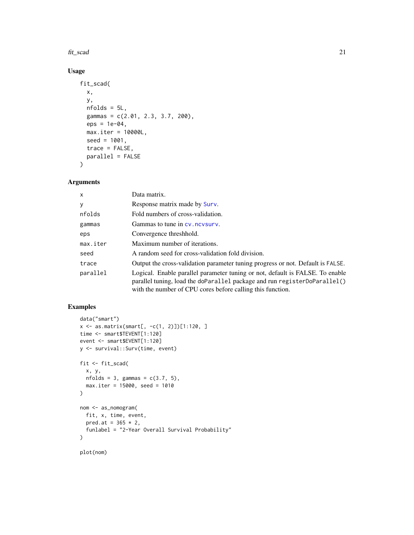#### fit\_scad 21

# Usage

```
fit_scad(
 x,
 y,
 nfolds = 5L,
 gammas = c(2.01, 2.3, 3.7, 200),
 eps = 1e-04,max.iter = 10000L,
 seed = 1001,trace = FALSE,
 parallel = FALSE
)
```
# Arguments

| x        | Data matrix.                                                                                                                                                                                                             |
|----------|--------------------------------------------------------------------------------------------------------------------------------------------------------------------------------------------------------------------------|
| у        | Response matrix made by Surv.                                                                                                                                                                                            |
| nfolds   | Fold numbers of cross-validation.                                                                                                                                                                                        |
| gammas   | Gammas to tune in cv. nevsury.                                                                                                                                                                                           |
| eps      | Convergence threshhold.                                                                                                                                                                                                  |
| max.iter | Maximum number of iterations.                                                                                                                                                                                            |
| seed     | A random seed for cross-validation fold division.                                                                                                                                                                        |
| trace    | Output the cross-validation parameter tuning progress or not. Default is FALSE.                                                                                                                                          |
| parallel | Logical. Enable parallel parameter tuning or not, default is FALSE. To enable<br>parallel tuning, load the doParallel package and run registerDoParallel()<br>with the number of CPU cores before calling this function. |

# Examples

```
data("smart")
x <- as.matrix(smart[, -c(1, 2)])[1:120, ]
time <- smart$TEVENT[1:120]
event <- smart$EVENT[1:120]
y <- survival::Surv(time, event)
fit <- fit_scad(
  x, y,
  nfolds = 3, gammas = c(3.7, 5),
  max.iter = 15000, seed = 1010
)
nom <- as_nomogram(
 fit, x, time, event,
  pred.at = 365 * 2,
  funlabel = "2-Year Overall Survival Probability"
\mathcal{L}plot(nom)
```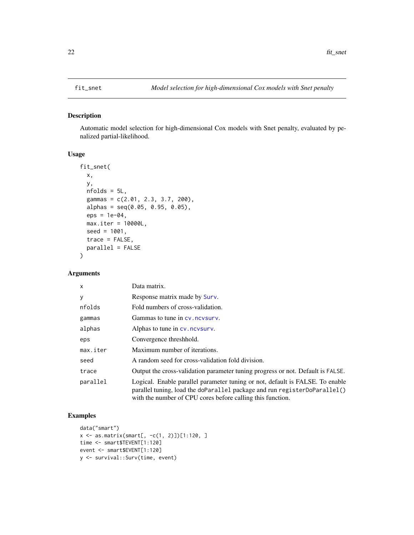# <span id="page-21-0"></span>Description

Automatic model selection for high-dimensional Cox models with Snet penalty, evaluated by penalized partial-likelihood.

#### Usage

```
fit_snet(
 x,
 y,
 nfolds = 5L,
  gammas = c(2.01, 2.3, 3.7, 200),
  alpha = seq(0.05, 0.95, 0.05),
 eps = 1e-04,
 max.iter = 10000L,
 seed = 1001,
 trace = FALSE,
 parallel = FALSE
\mathcal{E}
```
# Arguments

| X        | Data matrix.                                                                                                                                                                                                             |
|----------|--------------------------------------------------------------------------------------------------------------------------------------------------------------------------------------------------------------------------|
| У        | Response matrix made by Surv.                                                                                                                                                                                            |
| nfolds   | Fold numbers of cross-validation.                                                                                                                                                                                        |
| gammas   | Gammas to tune in cy. nevsury.                                                                                                                                                                                           |
| alphas   | Alphas to tune in cv. ncvsurv.                                                                                                                                                                                           |
| eps      | Convergence threshhold.                                                                                                                                                                                                  |
| max.iter | Maximum number of iterations.                                                                                                                                                                                            |
| seed     | A random seed for cross-validation fold division.                                                                                                                                                                        |
| trace    | Output the cross-validation parameter tuning progress or not. Default is FALSE.                                                                                                                                          |
| parallel | Logical. Enable parallel parameter tuning or not, default is FALSE. To enable<br>parallel tuning, load the doParallel package and run registerDoParallel()<br>with the number of CPU cores before calling this function. |

# Examples

```
data("smart")
x <- as.matrix(smart[, -c(1, 2)])[1:120, ]
time <- smart$TEVENT[1:120]
event <- smart$EVENT[1:120]
y <- survival::Surv(time, event)
```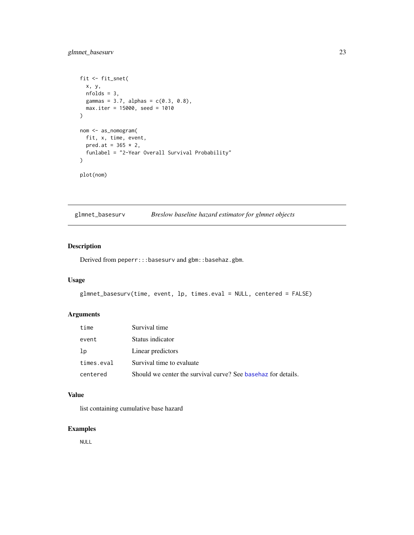# <span id="page-22-0"></span>glmnet\_basesurv 23

```
fit <- fit_snet(
  x, y,
  nfolds = 3,
  gammas = 3.7, alphas = c(0.3, 0.8),
  max.iter = 15000, seed = 1010
\mathcal{L}nom <- as_nomogram(
  fit, x, time, event,
  pred.at = 365 * 2,
  funlabel = "2-Year Overall Survival Probability"
\mathcal{L}plot(nom)
```
glmnet\_basesurv *Breslow baseline hazard estimator for glmnet objects*

# Description

Derived from peperr:::basesurv and gbm::basehaz.gbm.

#### Usage

```
glmnet_basesurv(time, event, lp, times.eval = NULL, centered = FALSE)
```
# Arguments

| time       | Survival time                                                 |
|------------|---------------------------------------------------------------|
| event      | Status indicator                                              |
| 1p         | Linear predictors                                             |
| times.eval | Survival time to evaluate                                     |
| centered   | Should we center the survival curve? See basehaz for details. |

#### Value

list containing cumulative base hazard

# Examples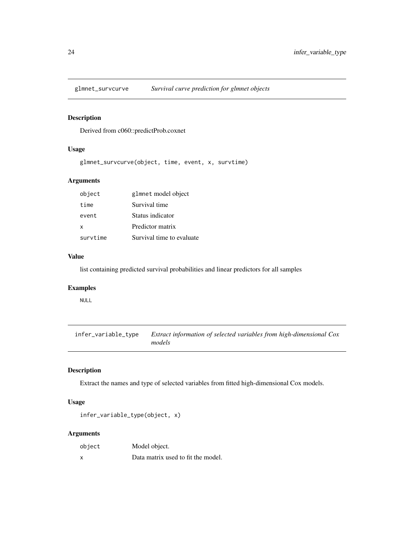<span id="page-23-0"></span>

# Description

Derived from c060::predictProb.coxnet

# Usage

glmnet\_survcurve(object, time, event, x, survtime)

# Arguments

| object   | glmnet model object       |
|----------|---------------------------|
| time     | Survival time             |
| event    | Status indicator          |
| х        | Predictor matrix          |
| survtime | Survival time to evaluate |

#### Value

list containing predicted survival probabilities and linear predictors for all samples

# Examples

NULL

infer\_variable\_type *Extract information of selected variables from high-dimensional Cox models*

# **Description**

Extract the names and type of selected variables from fitted high-dimensional Cox models.

#### Usage

infer\_variable\_type(object, x)

| object | Model object.                      |
|--------|------------------------------------|
| X      | Data matrix used to fit the model. |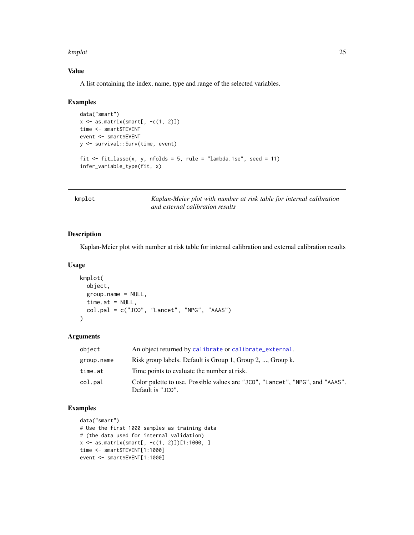#### <span id="page-24-0"></span>kmplot that the contract of the contract of the contract of the contract of the contract of the contract of the contract of the contract of the contract of the contract of the contract of the contract of the contract of th

#### Value

A list containing the index, name, type and range of the selected variables.

#### Examples

```
data("smart")
x \leftarrow as.matrix(smart[, -c(1, 2)])time <- smart$TEVENT
event <- smart$EVENT
y <- survival::Surv(time, event)
fit \le fit_lasso(x, y, nfolds = 5, rule = "lambda.1se", seed = 11)
infer_variable_type(fit, x)
```
kmplot *Kaplan-Meier plot with number at risk table for internal calibration and external calibration results*

# Description

Kaplan-Meier plot with number at risk table for internal calibration and external calibration results

#### Usage

```
kmplot(
  object,
  group.name = NULL,
  time.at = NULL,
  col.pal = c("JCO", "Lancet", "NPG", "AAAS")
)
```
#### Arguments

| object     | An object returned by calibrate or calibrate_external.                                             |
|------------|----------------------------------------------------------------------------------------------------|
| group.name | Risk group labels. Default is Group 1, Group 2, , Group k.                                         |
| time.at    | Time points to evaluate the number at risk.                                                        |
| col.pal    | Color palette to use. Possible values are "JCO", "Lancet", "NPG", and "AAAS".<br>Default is "JCO". |

#### Examples

```
data("smart")
# Use the first 1000 samples as training data
# (the data used for internal validation)
x \le - as.matrix(smart[, -c(1, 2)]][1:1000, ]
time <- smart$TEVENT[1:1000]
event <- smart$EVENT[1:1000]
```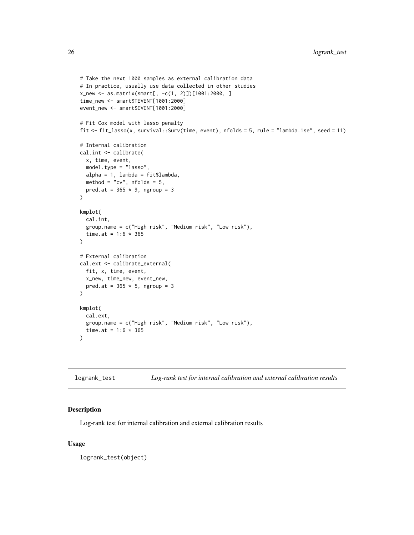```
# Take the next 1000 samples as external calibration data
# In practice, usually use data collected in other studies
x_new <- as.matrix(smart[, -c(1, 2)])[1001:2000, ]
time_new <- smart$TEVENT[1001:2000]
event_new <- smart$EVENT[1001:2000]
# Fit Cox model with lasso penalty
fit <- fit_lasso(x, survival::Surv(time, event), nfolds = 5, rule = "lambda.1se", seed = 11)
# Internal calibration
cal.int <- calibrate(
  x, time, event,
  model.type = "lasso",
  alpha = 1, lambda = fit$lambda,
  method = "cv", n_{\text{folds}} = 5,
  pred.at = 365 * 9, ngroup = 3\mathcal{L}kmplot(
  cal.int,
  group.name = c("High risk", "Medium risk", "Low risk"),
  time.at = 1:6 * 365\mathcal{L}# External calibration
cal.ext <- calibrate_external(
  fit, x, time, event,
 x_new, time_new, event_new,
  pred.at = 365 \times 5, ngroup = 3
\lambdakmplot(
  cal.ext,
  group.name = c("High risk", "Medium risk", "Low risk"),
  time.at = 1:6 * 365\lambda
```

| Log-rank test for internal calibration and external calibration results<br>logrank_test |  |
|-----------------------------------------------------------------------------------------|--|
|-----------------------------------------------------------------------------------------|--|

#### Description

Log-rank test for internal calibration and external calibration results

#### Usage

logrank\_test(object)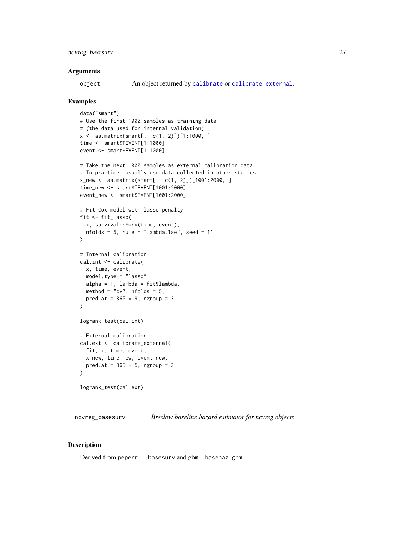<span id="page-26-0"></span>object An object returned by [calibrate](#page-3-1) or [calibrate\\_external](#page-6-1).

#### Examples

```
data("smart")
# Use the first 1000 samples as training data
# (the data used for internal validation)
x <- as.matrix(smart[, -c(1, 2)])[1:1000, ]
time <- smart$TEVENT[1:1000]
event <- smart$EVENT[1:1000]
# Take the next 1000 samples as external calibration data
# In practice, usually use data collected in other studies
x_new <- as.matrix(smart[, -c(1, 2)])[1001:2000, ]
time_new <- smart$TEVENT[1001:2000]
event_new <- smart$EVENT[1001:2000]
# Fit Cox model with lasso penalty
fit <- fit_lasso(
  x, survival::Surv(time, event),
 nfolds = 5, rule = "lambda.1se", seed = 11
\lambda# Internal calibration
cal.int <- calibrate(
 x, time, event,
 model.type = "lasso",
 alpha = 1, lambda = fit$lambda,
  method = "cv", n_{\text{folds}} = 5,
  pred.at = 365 \times 9, ngroup = 3
\mathcal{L}logrank_test(cal.int)
# External calibration
cal.ext <- calibrate_external(
 fit, x, time, event,
 x_new, time_new, event_new,
  pred.at = 365 \times 5, ngroup = 3
\mathcal{L}logrank_test(cal.ext)
```
ncvreg\_basesurv *Breslow baseline hazard estimator for ncvreg objects*

#### Description

Derived from peperr:::basesurv and gbm::basehaz.gbm.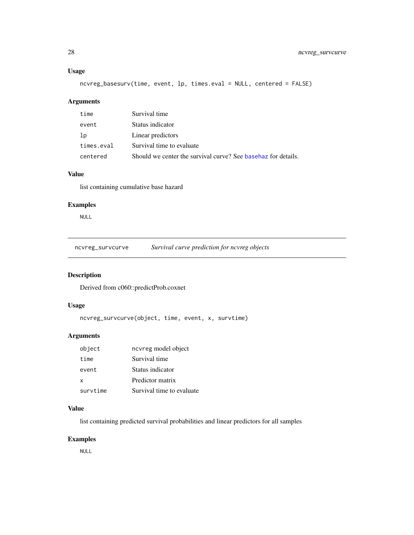#### <span id="page-27-0"></span>Usage

ncvreg\_basesurv(time, event, lp, times.eval = NULL, centered = FALSE)

# Arguments

| time       | Survival time                                                  |
|------------|----------------------------------------------------------------|
| event      | Status indicator                                               |
| -lp        | Linear predictors                                              |
| times.eval | Survival time to evaluate                                      |
| centered   | Should we center the survival curve? See base haz for details. |

#### Value

list containing cumulative base hazard

# Examples

NULL

ncvreg\_survcurve *Survival curve prediction for ncvreg objects*

# Description

Derived from c060::predictProb.coxnet

#### Usage

ncvreg\_survcurve(object, time, event, x, survtime)

# Arguments

| object   | ncvreg model object       |
|----------|---------------------------|
| time     | Survival time             |
| event    | Status indicator          |
| $\times$ | Predictor matrix          |
| survtime | Survival time to evaluate |

#### Value

list containing predicted survival probabilities and linear predictors for all samples

# Examples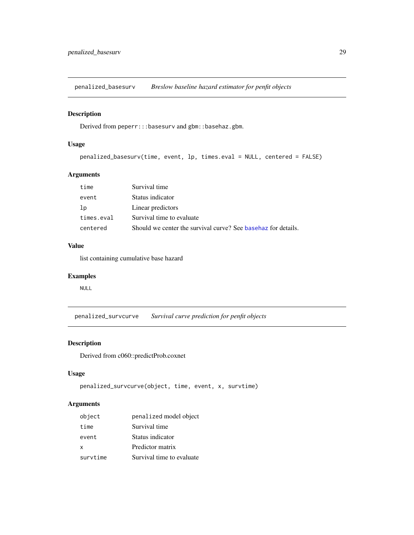<span id="page-28-0"></span>penalized\_basesurv *Breslow baseline hazard estimator for penfit objects*

#### Description

Derived from peperr:::basesurv and gbm::basehaz.gbm.

#### Usage

penalized\_basesurv(time, event, lp, times.eval = NULL, centered = FALSE)

# Arguments

| time       | Survival time                                                  |
|------------|----------------------------------------------------------------|
| event      | Status indicator                                               |
| 1p         | Linear predictors                                              |
| times.eval | Survival time to evaluate                                      |
| centered   | Should we center the survival curve? See base haz for details. |

# Value

list containing cumulative base hazard

# Examples

NULL

penalized\_survcurve *Survival curve prediction for penfit objects*

# Description

Derived from c060::predictProb.coxnet

# Usage

```
penalized_survcurve(object, time, event, x, survtime)
```

| object   | penalized model object    |
|----------|---------------------------|
| time     | Survival time             |
| event    | Status indicator          |
| X        | Predictor matrix          |
| survtime | Survival time to evaluate |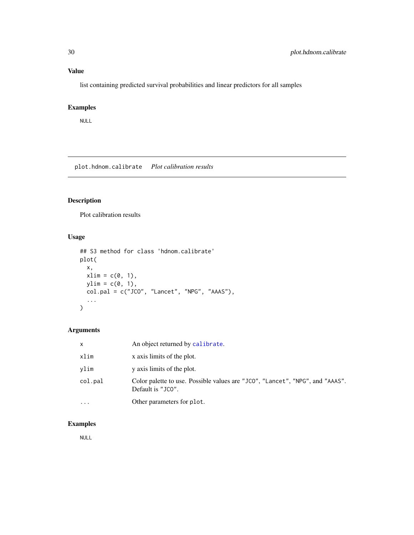# <span id="page-29-0"></span>Value

list containing predicted survival probabilities and linear predictors for all samples

# Examples

NULL

plot.hdnom.calibrate *Plot calibration results*

# Description

Plot calibration results

# Usage

```
## S3 method for class 'hdnom.calibrate'
plot(
 x,
 xlim = c(0, 1),ylim = c(0, 1),col.pal = c("JCO", "Lancet", "NPG", "AAAS"),
  ...
)
```
# Arguments

| x       | An object returned by calibrate.                                                                   |
|---------|----------------------------------------------------------------------------------------------------|
| xlim    | x axis limits of the plot.                                                                         |
| vlim    | y axis limits of the plot.                                                                         |
| col.pal | Color palette to use. Possible values are "JCO", "Lancet", "NPG", and "AAAS".<br>Default is "JCO". |
| .       | Other parameters for plot.                                                                         |

# Examples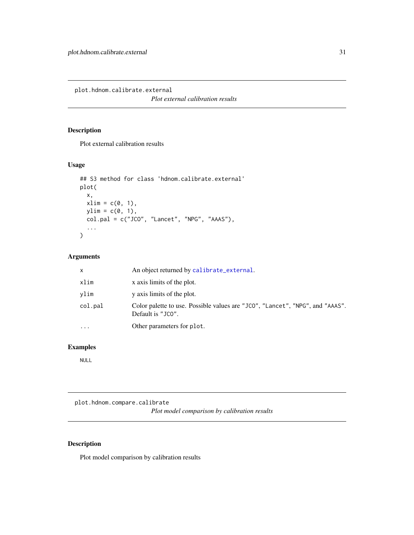<span id="page-30-0"></span>plot.hdnom.calibrate.external

*Plot external calibration results*

# Description

Plot external calibration results

#### Usage

```
## S3 method for class 'hdnom.calibrate.external'
plot(
 x,
 xlim = c(0, 1),ylim = c(0, 1),col.pal = c("JCO", "Lancet", "NPG", "AAAS"),
  ...
)
```
# Arguments

| x       | An object returned by calibrate_external.                                                          |
|---------|----------------------------------------------------------------------------------------------------|
| xlim    | x axis limits of the plot.                                                                         |
| vlim    | y axis limits of the plot.                                                                         |
| col.pal | Color palette to use. Possible values are "JCO", "Lancet", "NPG", and "AAAS".<br>Default is "JCO". |
| .       | Other parameters for plot.                                                                         |

#### Examples

NULL

plot.hdnom.compare.calibrate

*Plot model comparison by calibration results*

# Description

Plot model comparison by calibration results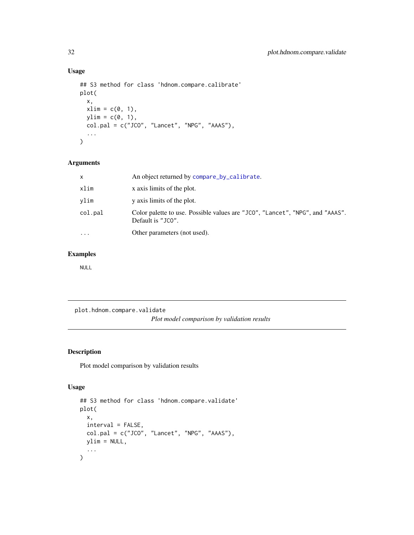# Usage

```
## S3 method for class 'hdnom.compare.calibrate'
plot(
  x,
  xlim = c(0, 1),ylim = c(\emptyset, 1),
  col.pdf = c("JCO", "Lancet", "NPG", "AAAS"),...
\mathcal{L}
```
# Arguments

| x       | An object returned by compare_by_calibrate.                                                        |
|---------|----------------------------------------------------------------------------------------------------|
| xlim    | x axis limits of the plot.                                                                         |
| vlim    | y axis limits of the plot.                                                                         |
| col.pal | Color palette to use. Possible values are "JCO", "Lancet", "NPG", and "AAAS".<br>Default is "JCO". |
| .       | Other parameters (not used).                                                                       |
|         |                                                                                                    |

# Examples

NULL

plot.hdnom.compare.validate *Plot model comparison by validation results*

# Description

Plot model comparison by validation results

```
## S3 method for class 'hdnom.compare.validate'
plot(
  x,
  interval = FALSE,
  col.pal = c("JCO", "Lancet", "NPG", "AAAS"),
  ylim = NULL,
  ...
\overline{\phantom{a}}
```
<span id="page-31-0"></span>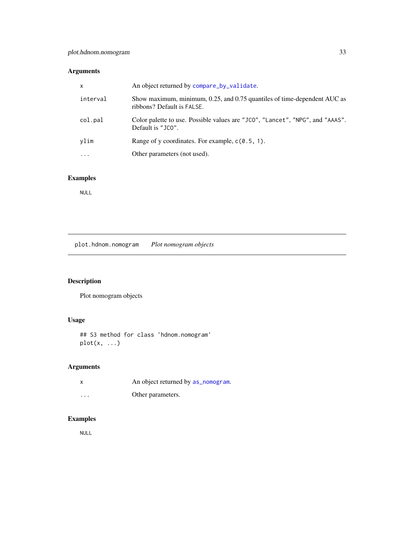<span id="page-32-0"></span>

| $\mathsf{x}$                              | An object returned by compare_by_validate.                                    |
|-------------------------------------------|-------------------------------------------------------------------------------|
| interval<br>ribbons? Default is FALSE.    | Show maximum, minimum, 0.25, and 0.75 quantiles of time-dependent AUC as      |
| col.pal<br>Default is "JCO".              | Color palette to use. Possible values are "JCO", "Lancet", "NPG", and "AAAS". |
| ylim                                      | Range of y coordinates. For example, $c(0.5, 1)$ .                            |
| Other parameters (not used).<br>$\ddotsc$ |                                                                               |

# Examples

NULL

plot.hdnom.nomogram *Plot nomogram objects*

# Description

Plot nomogram objects

# Usage

## S3 method for class 'hdnom.nomogram'  $plot(x, \ldots)$ 

# Arguments

| x        | An object returned by as_nomogram. |
|----------|------------------------------------|
| $\cdots$ | Other parameters.                  |

# Examples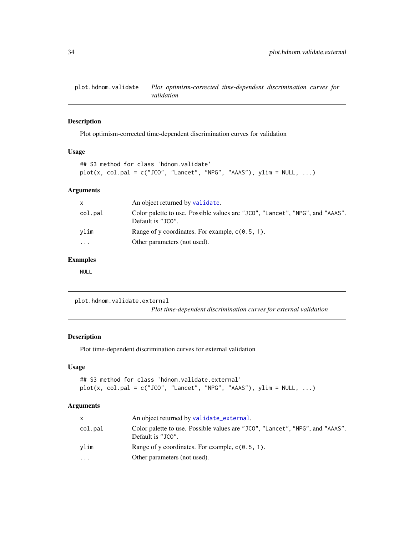<span id="page-33-0"></span>

# Description

Plot optimism-corrected time-dependent discrimination curves for validation

#### Usage

```
## S3 method for class 'hdnom.validate'
plot(x, col.path = c("JCO", "Lancet", "NPG", "AAAS"), ylim = NULL, ...)
```
#### Arguments

| An object returned by validate.<br>X.                                                                         |  |
|---------------------------------------------------------------------------------------------------------------|--|
| Color palette to use. Possible values are "JCO", "Lancet", "NPG", and "AAAS".<br>col.pal<br>Default is "JCO". |  |
| Range of y coordinates. For example, $c(0.5, 1)$ .<br>vlim                                                    |  |
| Other parameters (not used).<br>$\ddotsc$                                                                     |  |

# Examples

NULL

plot.hdnom.validate.external *Plot time-dependent discrimination curves for external validation*

#### Description

Plot time-dependent discrimination curves for external validation

# Usage

## S3 method for class 'hdnom.validate.external'  $plot(x, col.path = c("JCO", "Lancet", "NPG", "AAAS"), ylim = NULL, ...)$ 

| X.        | An object returned by validate_external.                                                           |
|-----------|----------------------------------------------------------------------------------------------------|
| col.pal   | Color palette to use. Possible values are "JCO", "Lancet", "NPG", and "AAAS".<br>Default is "JCO". |
| vlim      | Range of y coordinates. For example, $c(0.5, 1)$ .                                                 |
| $\ddotsc$ | Other parameters (not used).                                                                       |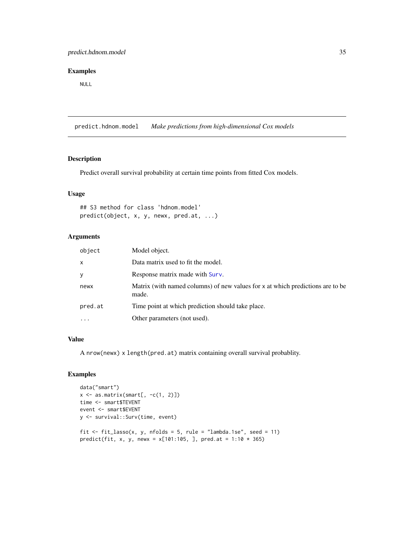#### <span id="page-34-0"></span>Examples

NULL

predict.hdnom.model *Make predictions from high-dimensional Cox models*

#### Description

Predict overall survival probability at certain time points from fitted Cox models.

#### Usage

```
## S3 method for class 'hdnom.model'
predict(object, x, y, newx, pred.at, ...)
```
# Arguments

| object    | Model object.                                                                           |
|-----------|-----------------------------------------------------------------------------------------|
| X         | Data matrix used to fit the model.                                                      |
| У         | Response matrix made with Surv.                                                         |
| newx      | Matrix (with named columns) of new values for x at which predictions are to be<br>made. |
| pred.at   | Time point at which prediction should take place.                                       |
| $\ddotsc$ | Other parameters (not used).                                                            |

#### Value

A nrow(newx) x length(pred.at) matrix containing overall survival probablity.

#### Examples

```
data("smart")
x \leftarrow as.matrix(smart[, -c(1, 2)])
time <- smart$TEVENT
event <- smart$EVENT
y <- survival::Surv(time, event)
fit \le fit_lasso(x, y, nfolds = 5, rule = "lambda.1se", seed = 11)
predict(fit, x, y, newx = x[101:105, ], pred.at = 1:10 * 365)
```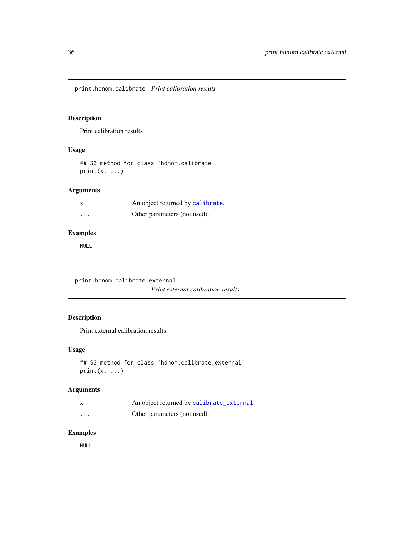<span id="page-35-0"></span>print.hdnom.calibrate *Print calibration results*

# Description

Print calibration results

#### Usage

## S3 method for class 'hdnom.calibrate'  $print(x, \ldots)$ 

# Arguments

| X        | An object returned by calibrate. |
|----------|----------------------------------|
| $\cdots$ | Other parameters (not used).     |

# Examples

NULL

print.hdnom.calibrate.external *Print external calibration results*

# Description

Print external calibration results

# Usage

```
## S3 method for class 'hdnom.calibrate.external'
print(x, \ldots)
```
# Arguments

|                         | An object returned by calibrate_external. |
|-------------------------|-------------------------------------------|
| $\cdot$ $\cdot$ $\cdot$ | Other parameters (not used).              |

# Examples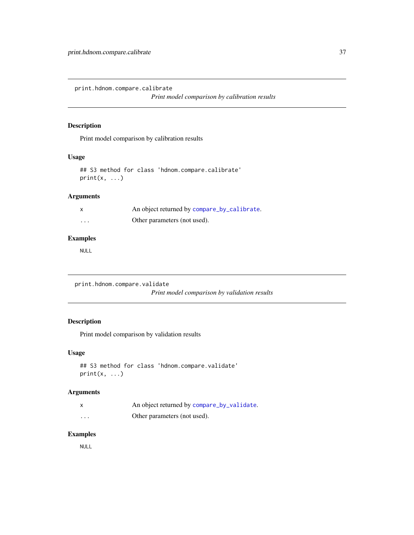<span id="page-36-0"></span>print.hdnom.compare.calibrate

*Print model comparison by calibration results*

# Description

Print model comparison by calibration results

#### Usage

```
## S3 method for class 'hdnom.compare.calibrate'
print(x, \ldots)
```
# Arguments

| $\mathsf{x}$ | An object returned by compare_by_calibrate. |
|--------------|---------------------------------------------|
| $\cdots$     | Other parameters (not used).                |

# Examples

NULL

```
print.hdnom.compare.validate
```
*Print model comparison by validation results*

# Description

Print model comparison by validation results

#### Usage

```
## S3 method for class 'hdnom.compare.validate'
print(x, \ldots)
```
#### Arguments

| X | An object returned by compare_by_validate. |
|---|--------------------------------------------|
| . | Other parameters (not used).               |

# Examples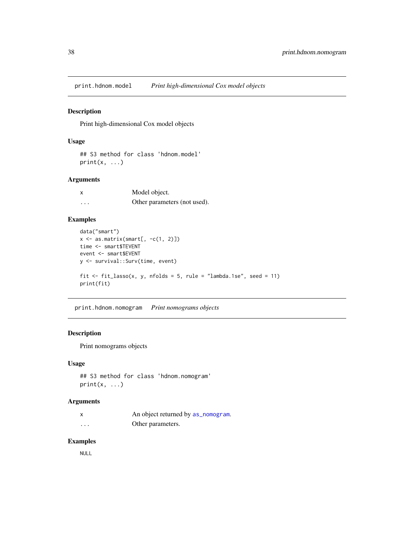<span id="page-37-0"></span>print.hdnom.model *Print high-dimensional Cox model objects*

# Description

Print high-dimensional Cox model objects

# Usage

```
## S3 method for class 'hdnom.model'
print(x, \ldots)
```
#### Arguments

| X        | Model object.                |
|----------|------------------------------|
| $\cdots$ | Other parameters (not used). |

# Examples

```
data("smart")
x \leftarrow as.matrix(smart[, -c(1, 2)])time <- smart$TEVENT
event <- smart$EVENT
y <- survival::Surv(time, event)
fit \le fit_lasso(x, y, nfolds = 5, rule = "lambda.1se", seed = 11)
print(fit)
```
print.hdnom.nomogram *Print nomograms objects*

# Description

Print nomograms objects

#### Usage

```
## S3 method for class 'hdnom.nomogram'
print(x, \ldots)
```
#### Arguments

|         | An object returned by as_nomogram. |
|---------|------------------------------------|
| $\cdot$ | Other parameters.                  |

# Examples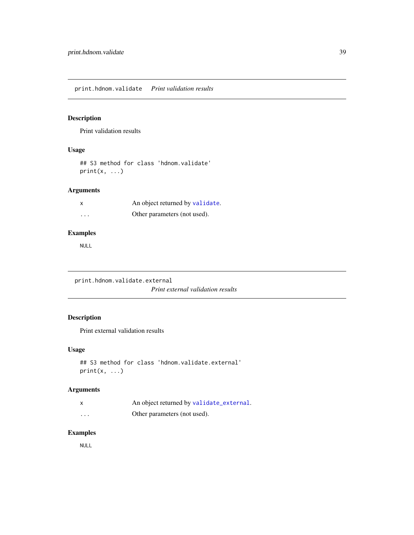<span id="page-38-0"></span>print.hdnom.validate *Print validation results*

# Description

Print validation results

#### Usage

## S3 method for class 'hdnom.validate'  $print(x, \ldots)$ 

# Arguments

|                      | An object returned by validate. |
|----------------------|---------------------------------|
| $\ddot{\phantom{0}}$ | Other parameters (not used).    |

# Examples

NULL

print.hdnom.validate.external

*Print external validation results*

# Description

Print external validation results

# Usage

```
## S3 method for class 'hdnom.validate.external'
print(x, \ldots)
```
# Arguments

|                         | An object returned by validate_external. |
|-------------------------|------------------------------------------|
| $\cdot$ $\cdot$ $\cdot$ | Other parameters (not used).             |

# Examples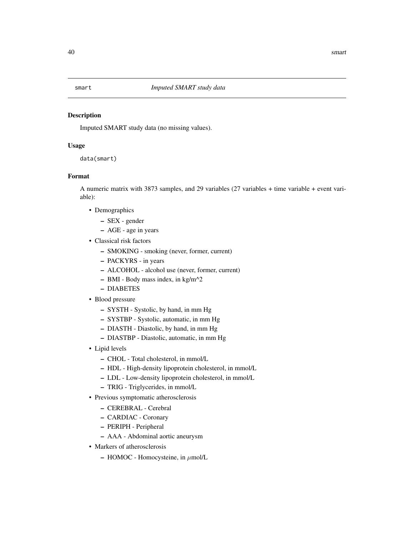<span id="page-39-0"></span>

#### Description

Imputed SMART study data (no missing values).

#### Usage

data(smart)

# Format

A numeric matrix with 3873 samples, and 29 variables (27 variables + time variable + event variable):

- Demographics
	- SEX gender
	- AGE age in years
- Classical risk factors
	- SMOKING smoking (never, former, current)
	- PACKYRS in years
	- ALCOHOL alcohol use (never, former, current)
	- $-$  BMI Body mass index, in kg/m<sup> $\text{A}$ 2</sup>
	- DIABETES
- Blood pressure
	- SYSTH Systolic, by hand, in mm Hg
	- SYSTBP Systolic, automatic, in mm Hg
	- DIASTH Diastolic, by hand, in mm Hg
	- DIASTBP Diastolic, automatic, in mm Hg
- Lipid levels
	- CHOL Total cholesterol, in mmol/L
	- HDL High-density lipoprotein cholesterol, in mmol/L
	- LDL Low-density lipoprotein cholesterol, in mmol/L
	- TRIG Triglycerides, in mmol/L
- Previous symptomatic atherosclerosis
	- CEREBRAL Cerebral
	- CARDIAC Coronary
	- PERIPH Peripheral
	- AAA Abdominal aortic aneurysm
- Markers of atherosclerosis
	- $-$  HOMOC Homocysteine, in  $\mu$ mol/L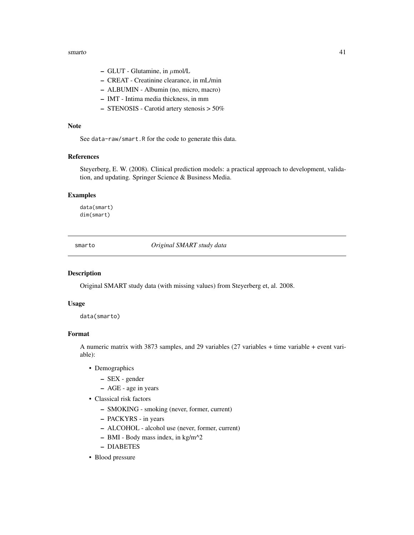#### <span id="page-40-0"></span>smarto and  $\frac{41}{41}$

- $-$  GLUT Glutamine, in  $\mu$ mol/L
- CREAT Creatinine clearance, in mL/min
- ALBUMIN Albumin (no, micro, macro)
- IMT Intima media thickness, in mm
- STENOSIS Carotid artery stenosis > 50%

#### Note

See data-raw/smart.R for the code to generate this data.

#### References

Steyerberg, E. W. (2008). Clinical prediction models: a practical approach to development, validation, and updating. Springer Science & Business Media.

#### Examples

data(smart) dim(smart)

smarto *Original SMART study data*

#### Description

Original SMART study data (with missing values) from Steyerberg et, al. 2008.

#### Usage

```
data(smarto)
```
# Format

A numeric matrix with 3873 samples, and 29 variables (27 variables + time variable + event variable):

- Demographics
	- SEX gender
	- AGE age in years
- Classical risk factors
	- SMOKING smoking (never, former, current)
	- PACKYRS in years
	- ALCOHOL alcohol use (never, former, current)
	- $-$  BMI Body mass index, in kg/m<sup> $\sim$ 2</sup>
	- DIABETES
- Blood pressure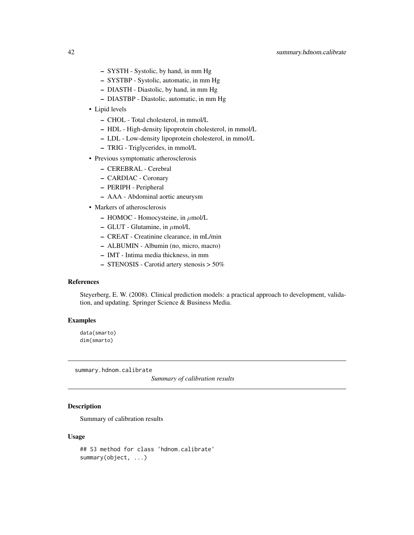- <span id="page-41-0"></span>– SYSTH - Systolic, by hand, in mm Hg
- SYSTBP Systolic, automatic, in mm Hg
- DIASTH Diastolic, by hand, in mm Hg
- DIASTBP Diastolic, automatic, in mm Hg
- Lipid levels
	- CHOL Total cholesterol, in mmol/L
	- HDL High-density lipoprotein cholesterol, in mmol/L
	- LDL Low-density lipoprotein cholesterol, in mmol/L
	- TRIG Triglycerides, in mmol/L
- Previous symptomatic atherosclerosis
	- CEREBRAL Cerebral
	- CARDIAC Coronary
	- PERIPH Peripheral
	- AAA Abdominal aortic aneurysm
- Markers of atherosclerosis
	- $-$  HOMOC Homocysteine, in  $\mu$ mol/L
	- $-$  GLUT Glutamine, in  $\mu$ mol/L
	- CREAT Creatinine clearance, in mL/min
	- ALBUMIN Albumin (no, micro, macro)
	- IMT Intima media thickness, in mm
	- STENOSIS Carotid artery stenosis > 50%

# References

Steyerberg, E. W. (2008). Clinical prediction models: a practical approach to development, validation, and updating. Springer Science & Business Media.

#### Examples

data(smarto) dim(smarto)

summary.hdnom.calibrate

*Summary of calibration results*

#### **Description**

Summary of calibration results

```
## S3 method for class 'hdnom.calibrate'
summary(object, ...)
```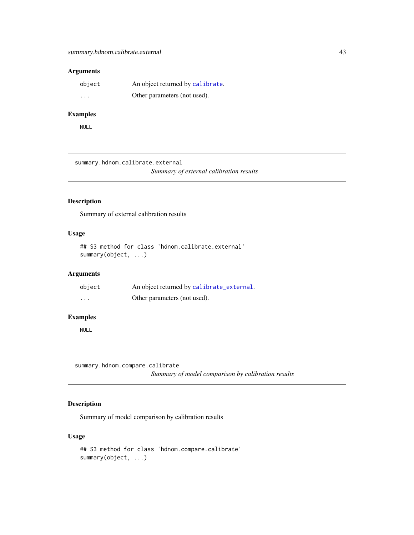<span id="page-42-0"></span>

| object                  | An object returned by calibrate. |
|-------------------------|----------------------------------|
| $\cdot$ $\cdot$ $\cdot$ | Other parameters (not used).     |

#### Examples

NULL

```
summary.hdnom.calibrate.external
```
*Summary of external calibration results*

# Description

Summary of external calibration results

#### Usage

## S3 method for class 'hdnom.calibrate.external' summary(object, ...)

# Arguments

| object   | An object returned by calibrate_external. |
|----------|-------------------------------------------|
| $\cdots$ | Other parameters (not used).              |

#### Examples

NULL

summary.hdnom.compare.calibrate

*Summary of model comparison by calibration results*

# Description

Summary of model comparison by calibration results

```
## S3 method for class 'hdnom.compare.calibrate'
summary(object, ...)
```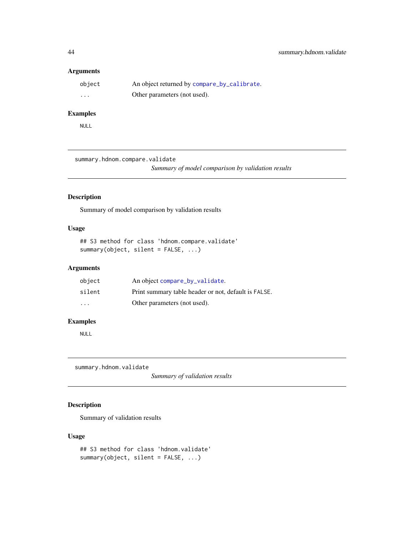<span id="page-43-0"></span>

| object   | An object returned by compare_by_calibrate. |
|----------|---------------------------------------------|
| $\cdots$ | Other parameters (not used).                |

# Examples

NULL

summary.hdnom.compare.validate

*Summary of model comparison by validation results*

# Description

Summary of model comparison by validation results

#### Usage

```
## S3 method for class 'hdnom.compare.validate'
summary(object, silent = FALSE, ...)
```
#### Arguments

| object                  | An object compare_by_validate.                       |
|-------------------------|------------------------------------------------------|
| silent                  | Print summary table header or not, default is FALSE. |
| $\cdot$ $\cdot$ $\cdot$ | Other parameters (not used).                         |

# Examples

NULL

summary.hdnom.validate

*Summary of validation results*

# Description

Summary of validation results

```
## S3 method for class 'hdnom.validate'
summary(object, silent = FALSE, ...)
```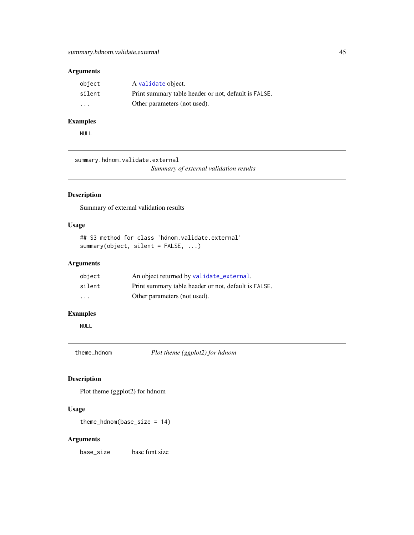<span id="page-44-0"></span>

| object                  | A validate object.                                   |
|-------------------------|------------------------------------------------------|
| silent                  | Print summary table header or not, default is FALSE. |
| $\cdot$ $\cdot$ $\cdot$ | Other parameters (not used).                         |

# Examples

NULL

```
summary.hdnom.validate.external
```
*Summary of external validation results*

# Description

Summary of external validation results

# Usage

```
## S3 method for class 'hdnom.validate.external'
summary(object, silent = FALSE, ...)
```
# Arguments

| object                  | An object returned by validate_external.             |
|-------------------------|------------------------------------------------------|
| silent                  | Print summary table header or not, default is FALSE. |
| $\cdot$ $\cdot$ $\cdot$ | Other parameters (not used).                         |

# Examples

NULL

theme\_hdnom *Plot theme (ggplot2) for hdnom*

# Description

Plot theme (ggplot2) for hdnom

#### Usage

theme\_hdnom(base\_size = 14)

#### Arguments

base\_size base font size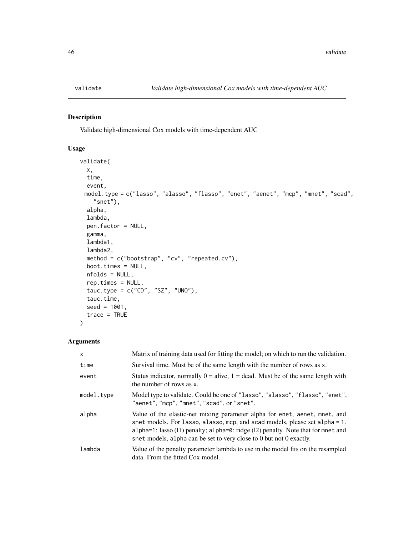<span id="page-45-1"></span><span id="page-45-0"></span>

# Description

Validate high-dimensional Cox models with time-dependent AUC

# Usage

```
validate(
  x,
  time,
  event,
 model.type = c("lasso", "alasso", "flasso", "enet", "aenet", "mcp", "mnet", "scad",
    "snet"),
 alpha,
 lambda,
 pen.factor = NULL,
 gamma,
  lambda1,
 lambda2,
 method = c("bootstrap", "cv", "repeated.cv"),
 boot.times = NULL,
 nfolds = NULL,
  rep.times = NULL,
  tauc.type = c("CD", "SZ", "UNO"),
  tauc.time,
  seed = 1001,trace = TRUE
)
```

| $\times$   | Matrix of training data used for fitting the model; on which to run the validation.                                                                                                                                                                                                                                      |
|------------|--------------------------------------------------------------------------------------------------------------------------------------------------------------------------------------------------------------------------------------------------------------------------------------------------------------------------|
| time       | Survival time. Must be of the same length with the number of rows as x.                                                                                                                                                                                                                                                  |
| event      | Status indicator, normally $0 =$ alive, $1 =$ dead. Must be of the same length with<br>the number of rows as x.                                                                                                                                                                                                          |
| model.type | Model type to validate. Could be one of "lasso", "alasso", "flasso", "enet",<br>"aenet", "mcp", "mnet", "scad", or "snet".                                                                                                                                                                                               |
| alpha      | Value of the elastic-net mixing parameter alpha for enet, aenet, mnet, and<br>snet models. For lasso, alasso, mcp, and scad models, please set alpha = 1.<br>alpha=1: lasso $(11)$ penalty; alpha=0: ridge $(12)$ penalty. Note that for mnet and<br>snet models, alpha can be set to very close to 0 but not 0 exactly. |
| lambda     | Value of the penalty parameter lambda to use in the model fits on the resampled<br>data. From the fitted Cox model.                                                                                                                                                                                                      |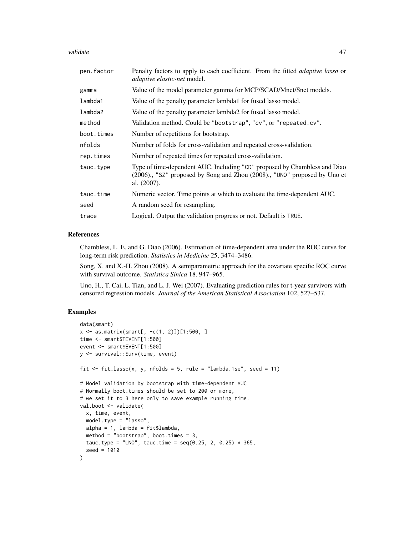#### validate and the set of the set of the set of the set of the set of the set of the set of the set of the set of the set of the set of the set of the set of the set of the set of the set of the set of the set of the set of

| Penalty factors to apply to each coefficient. From the fitted <i>adaptive lasso</i> or<br><i>adaptive elastic-net</i> model.                                             |
|--------------------------------------------------------------------------------------------------------------------------------------------------------------------------|
| Value of the model parameter gamma for MCP/SCAD/Mnet/Snet models.                                                                                                        |
| Value of the penalty parameter lambda1 for fused lasso model.                                                                                                            |
| Value of the penalty parameter lambda2 for fused lasso model.                                                                                                            |
| Validation method. Could be "bootstrap", "cv", or "repeated.cv".                                                                                                         |
| Number of repetitions for bootstrap.                                                                                                                                     |
| Number of folds for cross-validation and repeated cross-validation.                                                                                                      |
| Number of repeated times for repeated cross-validation.                                                                                                                  |
| Type of time-dependent AUC. Including "CD" proposed by Chambless and Diao<br>(2006)., "SZ" proposed by Song and Zhou (2008)., "UNO" proposed by Uno et<br>al. $(2007)$ . |
| Numeric vector. Time points at which to evaluate the time-dependent AUC.                                                                                                 |
| A random seed for resampling.                                                                                                                                            |
| Logical. Output the validation progress or not. Default is TRUE.                                                                                                         |
|                                                                                                                                                                          |

# References

Chambless, L. E. and G. Diao (2006). Estimation of time-dependent area under the ROC curve for long-term risk prediction. *Statistics in Medicine* 25, 3474–3486.

Song, X. and X.-H. Zhou (2008). A semiparametric approach for the covariate specific ROC curve with survival outcome. *Statistica Sinica* 18, 947–965.

Uno, H., T. Cai, L. Tian, and L. J. Wei (2007). Evaluating prediction rules for t-year survivors with censored regression models. *Journal of the American Statistical Association* 102, 527–537.

#### Examples

```
data(smart)
x <- as.matrix(smart[, -c(1, 2)])[1:500, ]
time <- smart$TEVENT[1:500]
event <- smart$EVENT[1:500]
y <- survival::Surv(time, event)
fit \le fit_lasso(x, y, nfolds = 5, rule = "lambda.1se", seed = 11)
# Model validation by bootstrap with time-dependent AUC
# Normally boot.times should be set to 200 or more,
# we set it to 3 here only to save example running time.
val.boot <- validate(
  x, time, event,
  model.type = "lasso",
  alpha = 1, lambda = fit$lambda,
  method = "bootstrap", boot.times = 3,
  tauc.type = "UNO", tauc.time = seq(0.25, 2, 0.25) * 365,
  seed = 1010
)
```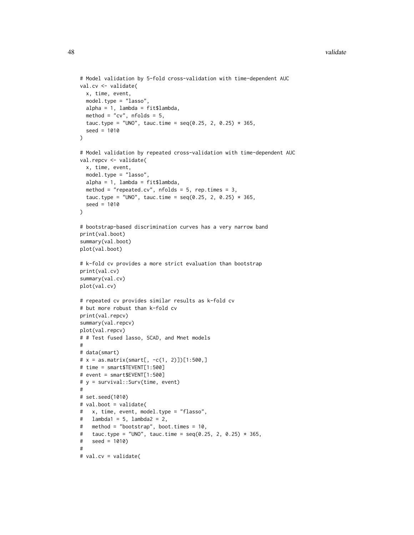```
# Model validation by 5-fold cross-validation with time-dependent AUC
val.cv <- validate(
 x, time, event,
  model.type = "lasso",
 alpha = 1, lambda = fit$lambda,
  method = "cv", nfolds = 5,
  tauc.type = "UNO", tauc.time = seq(0.25, 2, 0.25) * 365,
  seed = 1010
\lambda# Model validation by repeated cross-validation with time-dependent AUC
val.repcv <- validate(
  x, time, event,
 model.type = "lasso",
  alpha = 1, lambda = fit$lambda,
  method = "repeated.cv", n_{\text{folds}} = 5, rep.times = 3,
  tauc.type = "UNO", tauc.time = seq(0.25, 2, 0.25) * 365,
  seed = 1010
)
# bootstrap-based discrimination curves has a very narrow band
print(val.boot)
summary(val.boot)
plot(val.boot)
# k-fold cv provides a more strict evaluation than bootstrap
print(val.cv)
summary(val.cv)
plot(val.cv)
# repeated cv provides similar results as k-fold cv
# but more robust than k-fold cv
print(val.repcv)
summary(val.repcv)
plot(val.repcv)
# # Test fused lasso, SCAD, and Mnet models
#
# data(smart)
# x = as.matrix(smart[, -c(1, 2)])[1:500, ]# time = smart$TEVENT[1:500]
# event = smart$EVENT[1:500]
# y = survival::Surv(time, event)
#
# set.seed(1010)
# val.boot = validate(
# x, time, event, model.type = "flasso",
# lambda1 = 5, lambda2 = 2,
# method = "bootstrap", boot.times = 10,
# tauc.type = "UNO", tauc.time = seq(0.25, 2, 0.25) * 365,
# seed = 1010)
#
# val.cv = validate(
```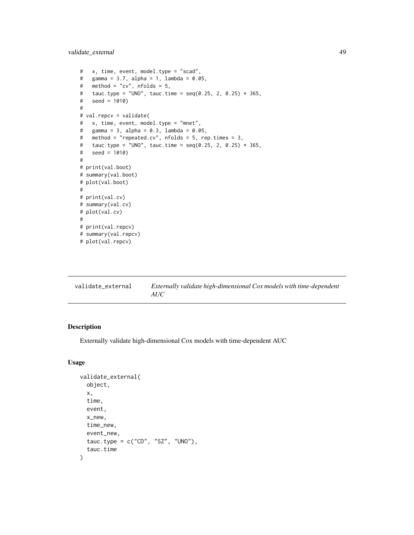<span id="page-48-0"></span>validate\_external 49

```
# x, time, event, model.type = "scad",
# gamma = 3.7, alpha = 1, lambda = 0.05,
# method = "cv", nfolds = 5,
# tauc.type = "UNO", tauc.time = seq(0.25, 2, 0.25) * 365,
# seed = 1010)
#
# val.repcv = validate(
# x, time, event, model.type = "mnet",
# gamma = 3, alpha = 0.3, lambda = 0.05,
# method = "repeated.cv", nfolds = 5, rep.times = 3,
# tauc.type = "UNO", tauc.time = seq(0.25, 2, 0.25) * 365,
# seed = 1010)
#
# print(val.boot)
# summary(val.boot)
# plot(val.boot)
#
# print(val.cv)
# summary(val.cv)
# plot(val.cv)
#
# print(val.repcv)
# summary(val.repcv)
# plot(val.repcv)
```
<span id="page-48-1"></span>

| validate external | Externally validate high-dimensional Cox models with time-dependent<br>AUC |
|-------------------|----------------------------------------------------------------------------|
|-------------------|----------------------------------------------------------------------------|

# Description

Externally validate high-dimensional Cox models with time-dependent AUC

```
validate_external(
  object,
  x,
  time,
  event,
  x_new,
  time_new,
  event_new,
  tauc.type = c("CD", "SZ", "UNO"),
  tauc.time
)
```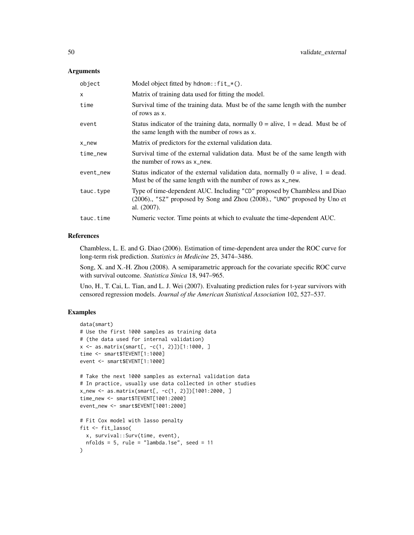| object    | Model object fitted by $h$ dnom:: $fit-*()$ .                                                                                                                         |
|-----------|-----------------------------------------------------------------------------------------------------------------------------------------------------------------------|
| X         | Matrix of training data used for fitting the model.                                                                                                                   |
| time      | Survival time of the training data. Must be of the same length with the number<br>of rows as x.                                                                       |
| event     | Status indicator of the training data, normally $0 =$ alive, $1 =$ dead. Must be of<br>the same length with the number of rows as x.                                  |
| x_new     | Matrix of predictors for the external validation data.                                                                                                                |
| time_new  | Survival time of the external validation data. Must be of the same length with<br>the number of rows as x_new.                                                        |
| event_new | Status indicator of the external validation data, normally $0 =$ alive, $1 =$ dead.<br>Must be of the same length with the number of rows as x_new.                   |
| tauc.type | Type of time-dependent AUC. Including "CD" proposed by Chambless and Diao<br>(2006)., "SZ" proposed by Song and Zhou (2008)., "UNO" proposed by Uno et<br>al. (2007). |
| tauc.time | Numeric vector. Time points at which to evaluate the time-dependent AUC.                                                                                              |
|           |                                                                                                                                                                       |

# References

Chambless, L. E. and G. Diao (2006). Estimation of time-dependent area under the ROC curve for long-term risk prediction. *Statistics in Medicine* 25, 3474–3486.

Song, X. and X.-H. Zhou (2008). A semiparametric approach for the covariate specific ROC curve with survival outcome. *Statistica Sinica* 18, 947–965.

Uno, H., T. Cai, L. Tian, and L. J. Wei (2007). Evaluating prediction rules for t-year survivors with censored regression models. *Journal of the American Statistical Association* 102, 527–537.

# Examples

```
data(smart)
# Use the first 1000 samples as training data
# (the data used for internal validation)
x \le - as.matrix(smart[, -c(1, 2)]][1:1000, ]
time <- smart$TEVENT[1:1000]
event <- smart$EVENT[1:1000]
# Take the next 1000 samples as external validation data
# In practice, usually use data collected in other studies
x_new <- as.matrix(smart[, -c(1, 2)])[1001:2000, ]
time_new <- smart$TEVENT[1001:2000]
event_new <- smart$EVENT[1001:2000]
# Fit Cox model with lasso penalty
fit <- fit_lasso(
  x, survival::Surv(time, event),
  nfolds = 5, rule = "lambda.1se", seed = 11\lambda
```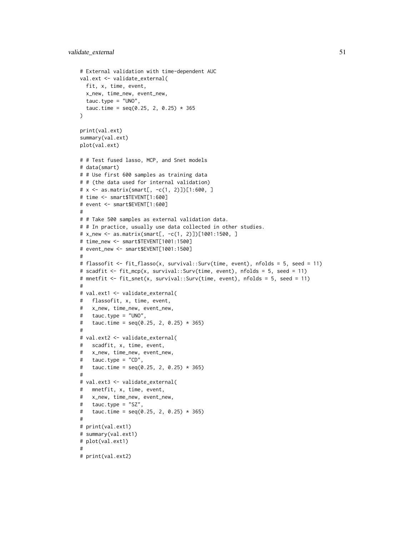```
# External validation with time-dependent AUC
val.ext <- validate_external(
 fit, x, time, event,
 x_new, time_new, event_new,
  tauc.type = "UNO",
  tauc.time = seq(0.25, 2, 0.25) * 365\lambdaprint(val.ext)
summary(val.ext)
plot(val.ext)
# # Test fused lasso, MCP, and Snet models
# data(smart)
# # Use first 600 samples as training data
# # (the data used for internal validation)
# x <- as.matrix(smart[, -c(1, 2)])[1:600, ]
# time <- smart$TEVENT[1:600]
# event <- smart$EVENT[1:600]
#
# # Take 500 samples as external validation data.
# # In practice, usually use data collected in other studies.
# x_new <- as.matrix(smart[, -c(1, 2)])[1001:1500, ]
# time_new <- smart$TEVENT[1001:1500]
# event_new <- smart$EVENT[1001:1500]
#
# flassofit <- fit_flasso(x, survival::Surv(time, event), nfolds = 5, seed = 11)
# scadfit <- fit_mcp(x, survival::Surv(time, event), nfolds = 5, seed = 11)
# mnetfit <- fit_snet(x, survival::Surv(time, event), nfolds = 5, seed = 11)
#
# val.ext1 <- validate_external(
# flassofit, x, time, event,
# x_new, time_new, event_new,
# tauc.type = "UNO",
# tauc.time = seq(0.25, 2, 0.25) * 365)#
# val.ext2 <- validate_external(
# scadfit, x, time, event,
# x_new, time_new, event_new,
# tauc.type = "CD",
# tauc.time = seq(0.25, 2, 0.25) * 365)#
# val.ext3 <- validate_external(
# mnetfit, x, time, event,
# x_new, time_new, event_new,
# tauc.type = "SZ",
# tauc.time = seq(0.25, 2, 0.25) * 365)#
# print(val.ext1)
# summary(val.ext1)
# plot(val.ext1)
#
# print(val.ext2)
```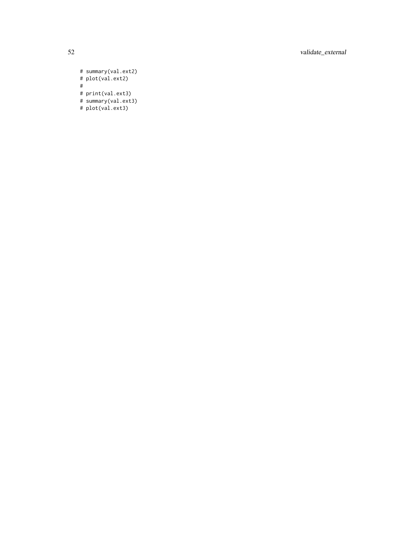52 validate\_external

# summary(val.ext2) # plot(val.ext2) # # print(val.ext3) # summary(val.ext3)

# plot(val.ext3)